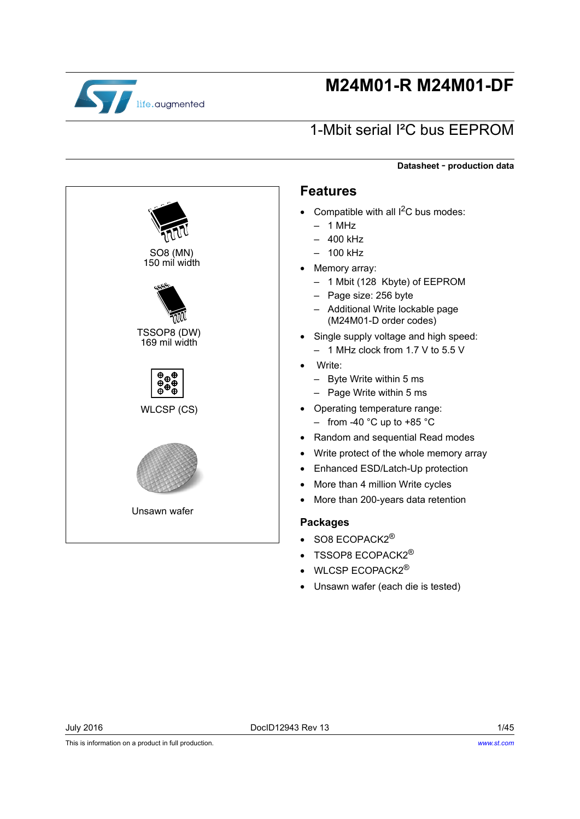

# **M24M01-R M24M01-DF**

# 1-Mbit serial I²C bus EEPROM

**Datasheet** - **production data**

SO8 (MN) 150 mil width mu TSSOP8 (DW) 169 mil width  $\frac{\oplus}{\oplus}$ e.  $\ddot{\theta}$  $\ddot{\theta}$  $\ddot{\theta}$ WLCSP (CS) Unsawn wafer

### **Features**

- Compatible with all  $I^2C$  bus modes:
	- $-1$  MHz
	- 400 kHz
	- 100 kHz
- Memory array:
	- 1 Mbit (128 Kbyte) of EEPROM
	- Page size: 256 byte
	- Additional Write lockable page (M24M01-D order codes)
- Single supply voltage and high speed:
	- 1 MHz clock from 1.7 V to 5.5 V
- Write:
	- Byte Write within 5 ms
	- Page Write within 5 ms
- Operating temperature range: – from -40  $^{\circ}$ C up to +85  $^{\circ}$ C
- Random and sequential Read modes
- Write protect of the whole memory array
- Enhanced ESD/Latch-Up protection
- More than 4 million Write cycles
- More than 200-years data retention

#### **Packages**

- $\bullet$  SO8 ECOPACK2<sup>®</sup>
- TSSOP8 ECOPACK2®
- WLCSP ECOPACK2<sup>®</sup>
- Unsawn wafer (each die is tested)

This is information on a product in full production.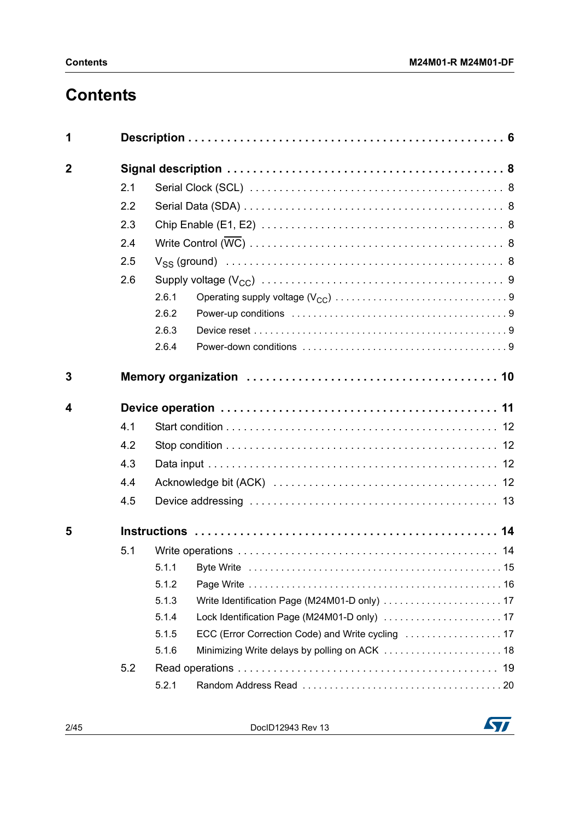# **Contents**

| 1              |     |       |                                               |
|----------------|-----|-------|-----------------------------------------------|
| $\overline{2}$ |     |       |                                               |
|                | 2.1 |       |                                               |
|                | 2.2 |       |                                               |
|                | 2.3 |       |                                               |
|                | 2.4 |       |                                               |
|                | 2.5 |       |                                               |
|                | 2.6 |       |                                               |
|                |     | 2.6.1 |                                               |
|                |     | 2.6.2 |                                               |
|                |     | 2.6.3 |                                               |
|                |     | 2.6.4 |                                               |
| 3              |     |       |                                               |
|                |     |       |                                               |
| 4              |     |       |                                               |
|                | 4.1 |       |                                               |
|                | 4.2 |       |                                               |
|                | 4.3 |       |                                               |
|                | 4.4 |       |                                               |
|                | 4.5 |       |                                               |
| 5              |     |       |                                               |
|                | 5.1 |       |                                               |
|                |     | 5.1.1 |                                               |
|                |     | 5.1.2 |                                               |
|                |     | 5.1.3 |                                               |
|                |     | 5.1.4 |                                               |
|                |     | 5.1.5 |                                               |
|                |     | 5.1.6 | Minimizing Write delays by polling on ACK  18 |
|                | 5.2 |       |                                               |
|                |     | 5.2.1 |                                               |

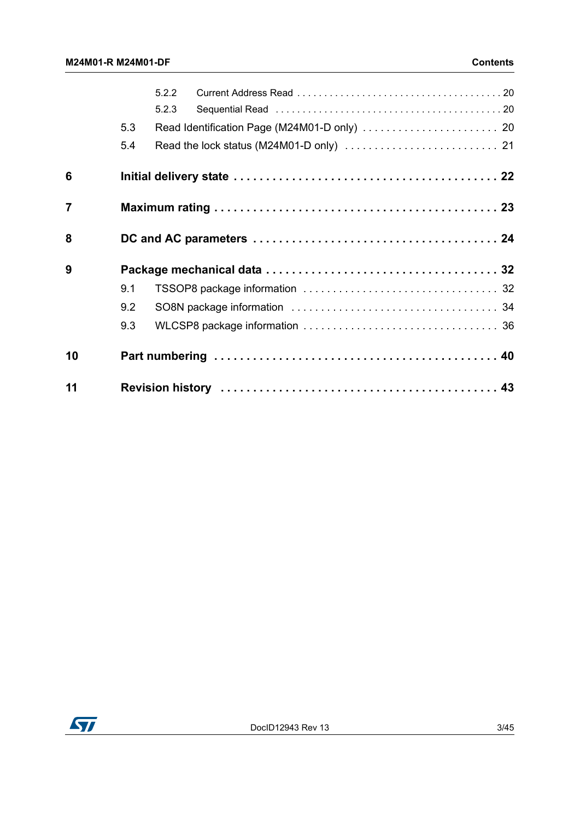|                |     | 5.2.2 |  |
|----------------|-----|-------|--|
|                |     | 5.2.3 |  |
|                | 5.3 |       |  |
|                | 5.4 |       |  |
| 6              |     |       |  |
| $\overline{7}$ |     |       |  |
| 8              |     |       |  |
| 9              |     |       |  |
|                | 9.1 |       |  |
|                | 9.2 |       |  |
|                | 9.3 |       |  |
| 10             |     |       |  |
| 11             |     |       |  |

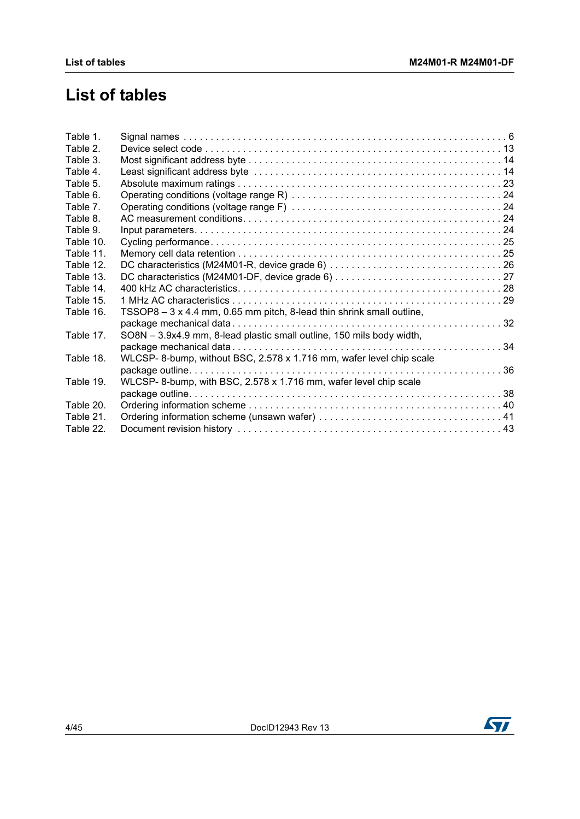# **List of tables**

| Table 1.  |                                                                       |  |
|-----------|-----------------------------------------------------------------------|--|
| Table 2.  |                                                                       |  |
| Table 3.  |                                                                       |  |
| Table 4.  |                                                                       |  |
| Table 5.  |                                                                       |  |
| Table 6.  |                                                                       |  |
| Table 7.  |                                                                       |  |
| Table 8.  |                                                                       |  |
| Table 9.  |                                                                       |  |
| Table 10. |                                                                       |  |
| Table 11. |                                                                       |  |
| Table 12. |                                                                       |  |
| Table 13. |                                                                       |  |
| Table 14. |                                                                       |  |
| Table 15. |                                                                       |  |
| Table 16. | TSSOP8 - 3 x 4.4 mm, 0.65 mm pitch, 8-lead thin shrink small outline, |  |
|           |                                                                       |  |
| Table 17. | SO8N - 3.9x4.9 mm, 8-lead plastic small outline, 150 mils body width, |  |
|           |                                                                       |  |
| Table 18. | WLCSP-8-bump, without BSC, 2.578 x 1.716 mm, wafer level chip scale   |  |
|           |                                                                       |  |
| Table 19. | WLCSP-8-bump, with BSC, 2.578 x 1.716 mm, wafer level chip scale      |  |
|           |                                                                       |  |
| Table 20. |                                                                       |  |
| Table 21. |                                                                       |  |
| Table 22. |                                                                       |  |
|           |                                                                       |  |

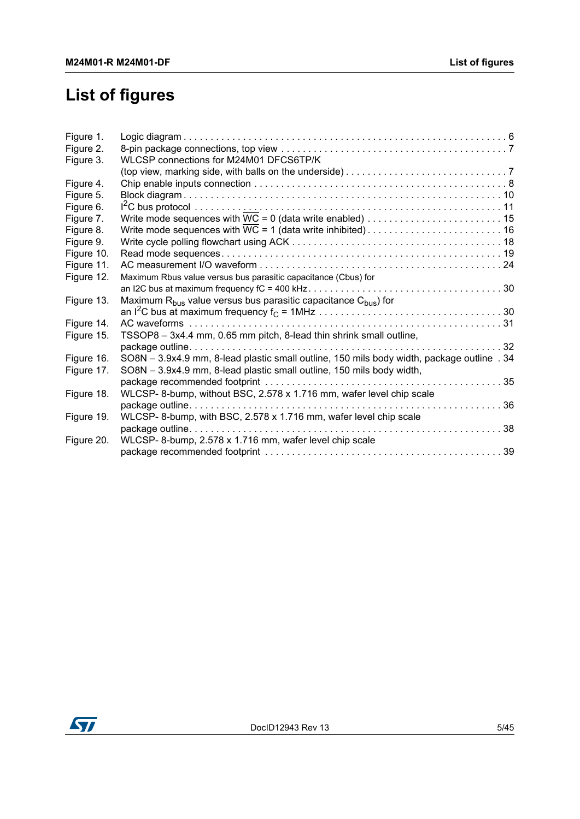# **List of figures**

| WLCSP connections for M24M01 DFCS6TP/K                         |                                                                                                                                                                                                                                                                                                                                                                                                                                                                                                                                                                                                                                                                 |
|----------------------------------------------------------------|-----------------------------------------------------------------------------------------------------------------------------------------------------------------------------------------------------------------------------------------------------------------------------------------------------------------------------------------------------------------------------------------------------------------------------------------------------------------------------------------------------------------------------------------------------------------------------------------------------------------------------------------------------------------|
|                                                                |                                                                                                                                                                                                                                                                                                                                                                                                                                                                                                                                                                                                                                                                 |
|                                                                |                                                                                                                                                                                                                                                                                                                                                                                                                                                                                                                                                                                                                                                                 |
|                                                                |                                                                                                                                                                                                                                                                                                                                                                                                                                                                                                                                                                                                                                                                 |
|                                                                |                                                                                                                                                                                                                                                                                                                                                                                                                                                                                                                                                                                                                                                                 |
|                                                                |                                                                                                                                                                                                                                                                                                                                                                                                                                                                                                                                                                                                                                                                 |
|                                                                |                                                                                                                                                                                                                                                                                                                                                                                                                                                                                                                                                                                                                                                                 |
|                                                                |                                                                                                                                                                                                                                                                                                                                                                                                                                                                                                                                                                                                                                                                 |
|                                                                |                                                                                                                                                                                                                                                                                                                                                                                                                                                                                                                                                                                                                                                                 |
|                                                                |                                                                                                                                                                                                                                                                                                                                                                                                                                                                                                                                                                                                                                                                 |
| Maximum Rbus value versus bus parasitic capacitance (Cbus) for |                                                                                                                                                                                                                                                                                                                                                                                                                                                                                                                                                                                                                                                                 |
|                                                                |                                                                                                                                                                                                                                                                                                                                                                                                                                                                                                                                                                                                                                                                 |
|                                                                |                                                                                                                                                                                                                                                                                                                                                                                                                                                                                                                                                                                                                                                                 |
|                                                                |                                                                                                                                                                                                                                                                                                                                                                                                                                                                                                                                                                                                                                                                 |
|                                                                |                                                                                                                                                                                                                                                                                                                                                                                                                                                                                                                                                                                                                                                                 |
|                                                                |                                                                                                                                                                                                                                                                                                                                                                                                                                                                                                                                                                                                                                                                 |
|                                                                |                                                                                                                                                                                                                                                                                                                                                                                                                                                                                                                                                                                                                                                                 |
|                                                                |                                                                                                                                                                                                                                                                                                                                                                                                                                                                                                                                                                                                                                                                 |
|                                                                |                                                                                                                                                                                                                                                                                                                                                                                                                                                                                                                                                                                                                                                                 |
|                                                                |                                                                                                                                                                                                                                                                                                                                                                                                                                                                                                                                                                                                                                                                 |
|                                                                |                                                                                                                                                                                                                                                                                                                                                                                                                                                                                                                                                                                                                                                                 |
|                                                                | 36                                                                                                                                                                                                                                                                                                                                                                                                                                                                                                                                                                                                                                                              |
|                                                                |                                                                                                                                                                                                                                                                                                                                                                                                                                                                                                                                                                                                                                                                 |
|                                                                |                                                                                                                                                                                                                                                                                                                                                                                                                                                                                                                                                                                                                                                                 |
|                                                                |                                                                                                                                                                                                                                                                                                                                                                                                                                                                                                                                                                                                                                                                 |
|                                                                |                                                                                                                                                                                                                                                                                                                                                                                                                                                                                                                                                                                                                                                                 |
|                                                                | Write mode sequences with WC = 1 (data write inhibited) $\ldots \ldots \ldots \ldots \ldots \ldots \ldots \ldots$<br>Maximum R <sub>bus</sub> value versus bus parasitic capacitance C <sub>bus</sub> ) for<br>TSSOP8 - 3x4.4 mm, 0.65 mm pitch, 8-lead thin shrink small outline,<br>SO8N - 3.9x4.9 mm, 8-lead plastic small outline, 150 mils body width, package outline . 34<br>SO8N - 3.9x4.9 mm, 8-lead plastic small outline, 150 mils body width,<br>WLCSP- 8-bump, without BSC, 2.578 x 1.716 mm, wafer level chip scale<br>WLCSP-8-bump, with BSC, 2.578 x 1.716 mm, wafer level chip scale<br>WLCSP-8-bump, 2.578 x 1.716 mm, wafer level chip scale |

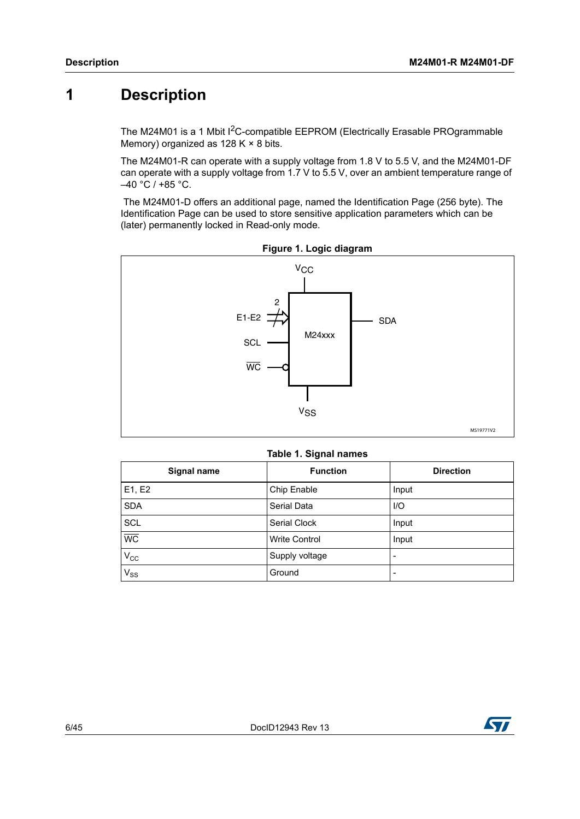## <span id="page-5-0"></span>**1 Description**

The M24M01 is a 1 Mbit  $1<sup>2</sup>C$ -compatible EEPROM (Electrically Erasable PROgrammable Memory) organized as  $128 K \times 8$  bits.

The M24M01-R can operate with a supply voltage from 1.8 V to 5.5 V, and the M24M01-DF can operate with a supply voltage from 1.7 V to 5.5 V, over an ambient temperature range of  $-40 °C / +85 °C$ .

 The M24M01-D offers an additional page, named the Identification Page (256 byte). The Identification Page can be used to store sensitive application parameters which can be (later) permanently locked in Read-only mode.

<span id="page-5-2"></span>

|  |  |  | Figure 1. Logic diagram |
|--|--|--|-------------------------|
|--|--|--|-------------------------|

|  |  |  | Table 1. Signal names |
|--|--|--|-----------------------|
|--|--|--|-----------------------|

<span id="page-5-1"></span>

| Signal name     | <b>Function</b>      | <b>Direction</b> |  |  |
|-----------------|----------------------|------------------|--|--|
| E1, E2          | Chip Enable          | Input            |  |  |
| <b>SDA</b>      | Serial Data          | $U$              |  |  |
| <b>SCL</b>      | Serial Clock         | Input            |  |  |
| $\overline{WC}$ | <b>Write Control</b> | Input            |  |  |
| $V_{\rm CC}$    | Supply voltage       |                  |  |  |
| $V_{SS}$        | Ground               |                  |  |  |

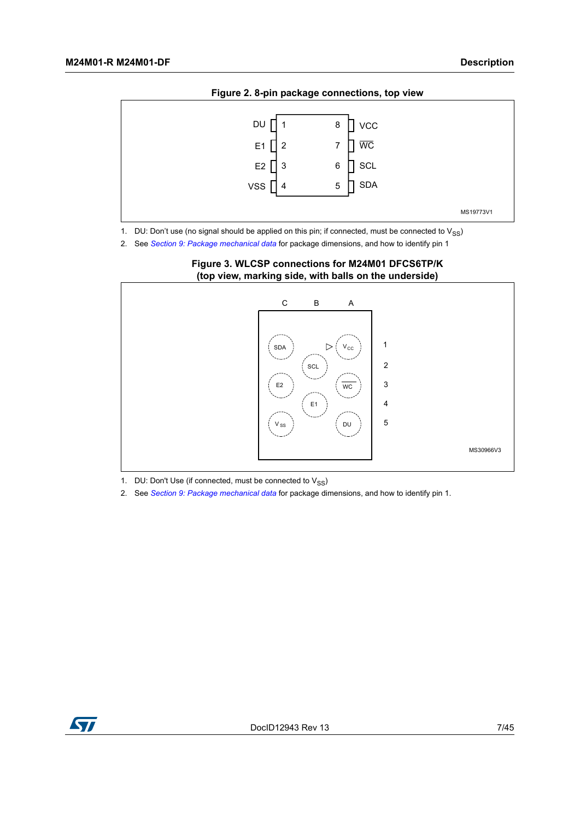<span id="page-6-0"></span>

**Figure 2. 8-pin package connections, top view**

1. DU: Don't use (no signal should be applied on this pin; if connected, must be connected to  $V_{SS}$ )

<span id="page-6-1"></span>2. See *[Section 9: Package mechanical data](#page-31-0)* for package dimensions, and how to identify pin 1



**Figure 3. WLCSP connections for M24M01 DFCS6TP/K (top view, marking side, with balls on the underside)**

1. DU: Don't Use (if connected, must be connected to  $V_{SS}$ )

2. See *[Section 9: Package mechanical data](#page-31-0)* for package dimensions, and how to identify pin 1.

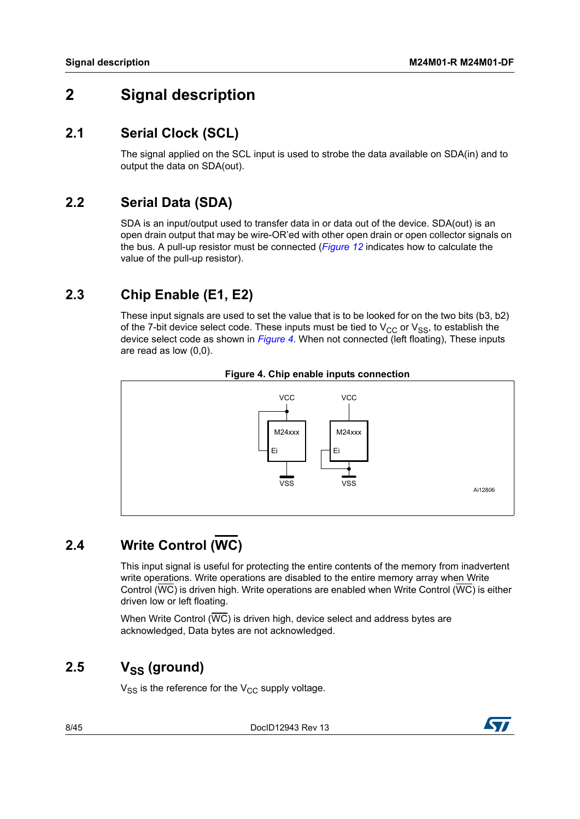## <span id="page-7-0"></span>**2 Signal description**

## <span id="page-7-1"></span>**2.1 Serial Clock (SCL)**

The signal applied on the SCL input is used to strobe the data available on SDA(in) and to output the data on SDA(out).

## <span id="page-7-2"></span>**2.2 Serial Data (SDA)**

SDA is an input/output used to transfer data in or data out of the device. SDA(out) is an open drain output that may be wire-OR'ed with other open drain or open collector signals on the bus. A pull-up resistor must be connected (*[Figure](#page-29-0) 12* indicates how to calculate the value of the pull-up resistor).

## <span id="page-7-3"></span>**2.3 Chip Enable (E1, E2)**

These input signals are used to set the value that is to be looked for on the two bits (b3, b2) of the 7-bit device select code. These inputs must be tied to  $V_{CC}$  or  $V_{SS}$ , to establish the device select code as shown in *[Figure](#page-7-6) 4*. When not connected (left floating), These inputs are read as low (0,0).

<span id="page-7-6"></span>



# <span id="page-7-4"></span>**2.4 Write Control (WC)**

This input signal is useful for protecting the entire contents of the memory from inadvertent write operations. Write operations are disabled to the entire memory array when Write Control (WC) is driven high. Write operations are enabled when Write Control (WC) is either driven low or left floating.

When Write Control  $(\overline{WC})$  is driven high, device select and address bytes are acknowledged, Data bytes are not acknowledged.

## <span id="page-7-5"></span> $2.5 \qquad V_{SS}$  (ground)

 $V_{SS}$  is the reference for the  $V_{CC}$  supply voltage.



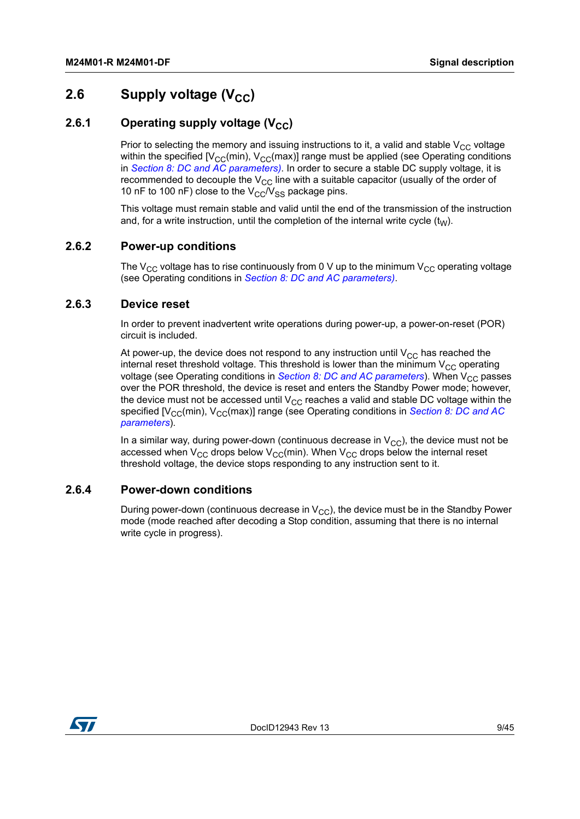## <span id="page-8-0"></span>**2.6** Supply voltage (V<sub>CC</sub>)

### <span id="page-8-1"></span>**2.6.1** Operating supply voltage (V<sub>CC</sub>)

Prior to selecting the memory and issuing instructions to it, a valid and stable  $V_{CC}$  voltage within the specified  $[V_{CC}(min), V_{CC}(max)]$  range must be applied (see Operating conditions in *Section [8: DC and AC parameters](#page-23-0))*. In order to secure a stable DC supply voltage, it is recommended to decouple the  $V_{CC}$  line with a suitable capacitor (usually of the order of 10 nF to 100 nF) close to the  $V_{\rm CC}/V_{\rm SS}$  package pins.

This voltage must remain stable and valid until the end of the transmission of the instruction and, for a write instruction, until the completion of the internal write cycle  $(t_{W})$ .

### <span id="page-8-2"></span>**2.6.2 Power-up conditions**

The  $V_{CC}$  voltage has to rise continuously from 0 V up to the minimum  $V_{CC}$  operating voltage (see Operating conditions in *Section [8: DC and AC parameters](#page-23-0))*.

#### <span id="page-8-3"></span>**2.6.3 Device reset**

In order to prevent inadvertent write operations during power-up, a power-on-reset (POR) circuit is included.

At power-up, the device does not respond to any instruction until  $V_{CC}$  has reached the internal reset threshold voltage. This threshold is lower than the minimum  $V_{CC}$  operating voltage (see Operating conditions in *Section [8: DC and AC parameters](#page-23-0)*). When V<sub>CC</sub> passes over the POR threshold, the device is reset and enters the Standby Power mode; however, the device must not be accessed until  $V_{CC}$  reaches a valid and stable DC voltage within the specified [V<sub>CC</sub>(min), V<sub>CC</sub>(max)] range (see Operating conditions in *Section 8: DC and AC [parameters](#page-23-0)*).

In a similar way, during power-down (continuous decrease in  $V_{CC}$ ), the device must not be accessed when  $V_{CC}$  drops below  $V_{CC}$ (min). When  $V_{CC}$  drops below the internal reset threshold voltage, the device stops responding to any instruction sent to it.

#### <span id="page-8-4"></span>**2.6.4 Power-down conditions**

During power-down (continuous decrease in  $V_{CC}$ ), the device must be in the Standby Power mode (mode reached after decoding a Stop condition, assuming that there is no internal write cycle in progress).

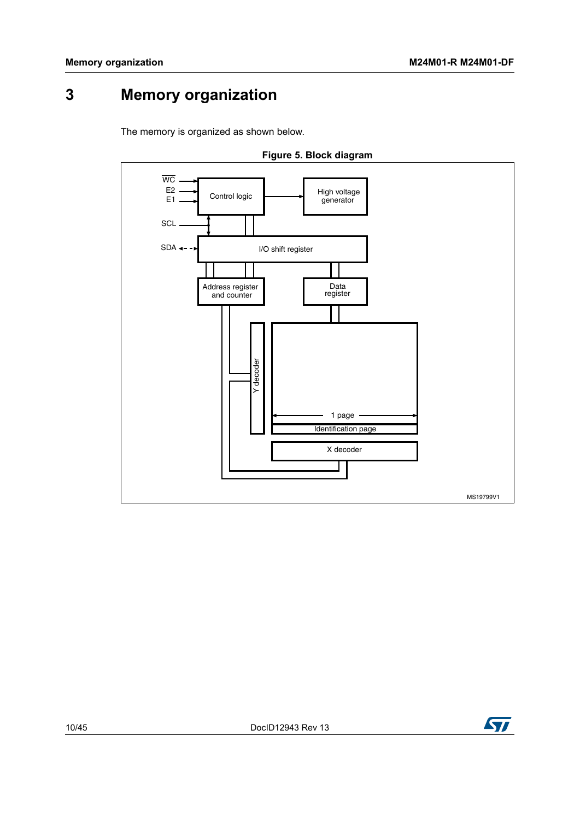# <span id="page-9-0"></span>**3 Memory organization**

The memory is organized as shown below.

<span id="page-9-1"></span>

**Figure 5. Block diagram**

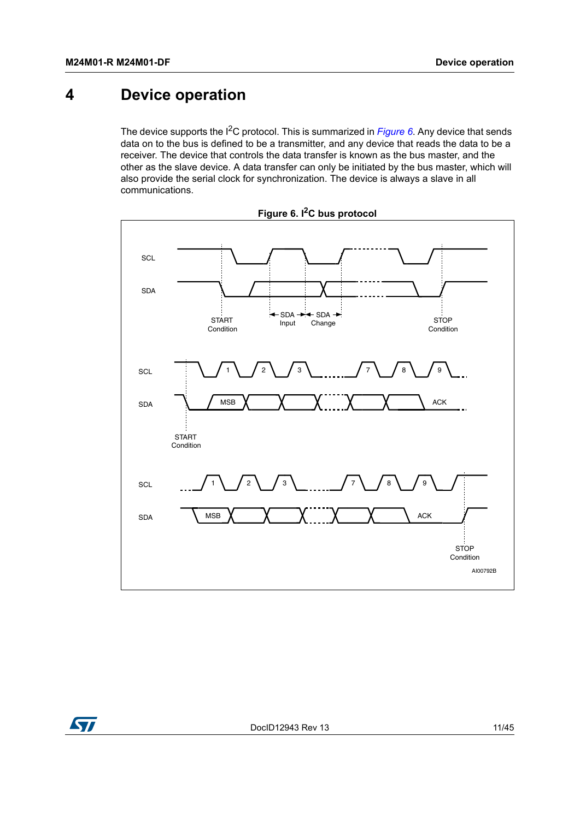# <span id="page-10-0"></span>**4 Device operation**

The device supports the I<sup>2</sup>C protocol. This is summarized in *[Figure](#page-10-1)* 6. Any device that sends data on to the bus is defined to be a transmitter, and any device that reads the data to be a receiver. The device that controls the data transfer is known as the bus master, and the other as the slave device. A data transfer can only be initiated by the bus master, which will also provide the serial clock for synchronization. The device is always a slave in all communications.

<span id="page-10-1"></span>

**Figure 6. I2C bus protocol**

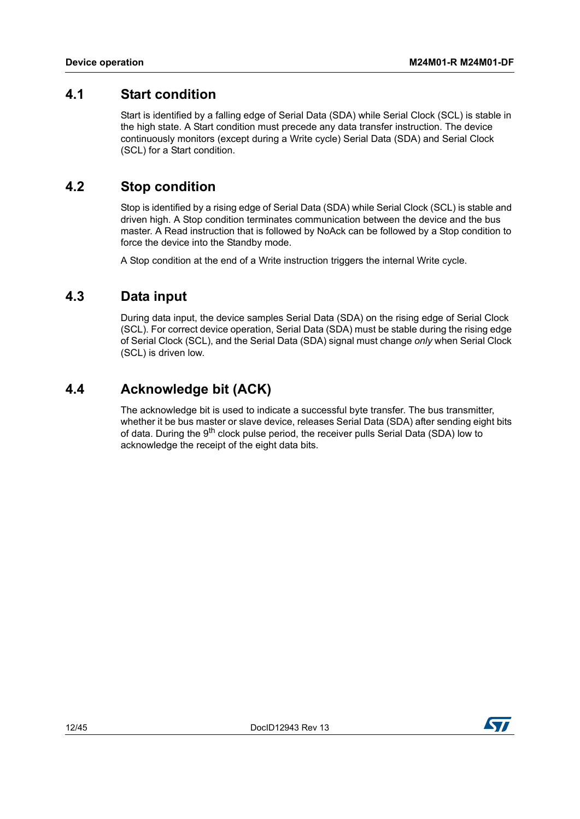### <span id="page-11-0"></span>**4.1 Start condition**

Start is identified by a falling edge of Serial Data (SDA) while Serial Clock (SCL) is stable in the high state. A Start condition must precede any data transfer instruction. The device continuously monitors (except during a Write cycle) Serial Data (SDA) and Serial Clock (SCL) for a Start condition.

### <span id="page-11-1"></span>**4.2 Stop condition**

Stop is identified by a rising edge of Serial Data (SDA) while Serial Clock (SCL) is stable and driven high. A Stop condition terminates communication between the device and the bus master. A Read instruction that is followed by NoAck can be followed by a Stop condition to force the device into the Standby mode.

A Stop condition at the end of a Write instruction triggers the internal Write cycle.

### <span id="page-11-2"></span>**4.3 Data input**

During data input, the device samples Serial Data (SDA) on the rising edge of Serial Clock (SCL). For correct device operation, Serial Data (SDA) must be stable during the rising edge of Serial Clock (SCL), and the Serial Data (SDA) signal must change *only* when Serial Clock (SCL) is driven low.

## <span id="page-11-3"></span>**4.4 Acknowledge bit (ACK)**

The acknowledge bit is used to indicate a successful byte transfer. The bus transmitter, whether it be bus master or slave device, releases Serial Data (SDA) after sending eight bits of data. During the 9<sup>th</sup> clock pulse period, the receiver pulls Serial Data (SDA) low to acknowledge the receipt of the eight data bits.

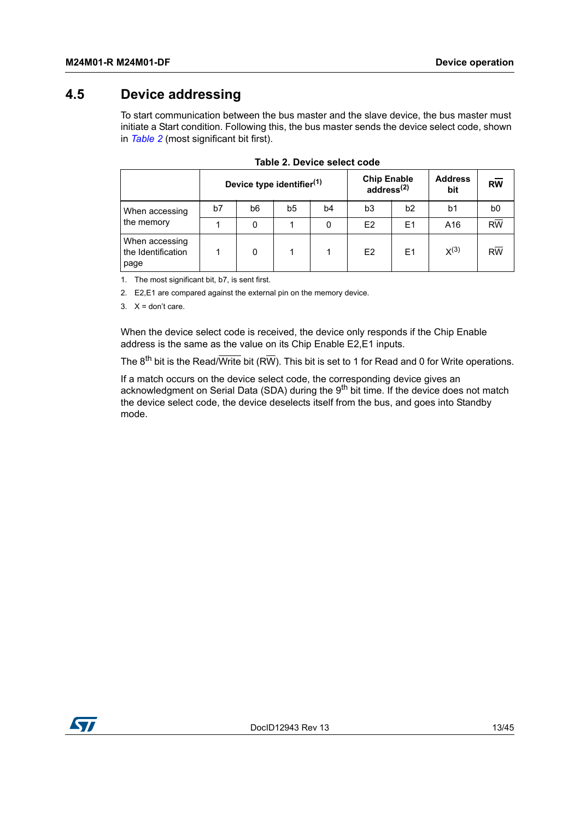## <span id="page-12-0"></span>**4.5 Device addressing**

To start communication between the bus master and the slave device, the bus master must initiate a Start condition. Following this, the bus master sends the device select code, shown in *[Table](#page-12-1) 2* (most significant bit first).

<span id="page-12-1"></span>

|                                              | Device type identifier <sup>(1)</sup> |    |                |    | <b>Chip Enable</b><br>address <sup>(2)</sup> |                | <b>Address</b><br>bit | <b>RW</b> |
|----------------------------------------------|---------------------------------------|----|----------------|----|----------------------------------------------|----------------|-----------------------|-----------|
| When accessing                               | b7                                    | b6 | b <sub>5</sub> | b4 | b <sub>3</sub>                               | b2             | b1                    | b0        |
| the memory                                   |                                       |    |                | 0  | E <sub>2</sub>                               | E <sub>1</sub> | A16                   | <b>RW</b> |
| When accessing<br>the Identification<br>page |                                       | 0  |                |    | E <sub>2</sub>                               | E <sub>1</sub> | $X^{(3)}$             | <b>RW</b> |

|  | Table 2. Device select code |  |
|--|-----------------------------|--|
|  |                             |  |

1. The most significant bit, b7, is sent first.

2. E2,E1 are compared against the external pin on the memory device.

 $3. X =$  don't care.

When the device select code is received, the device only responds if the Chip Enable address is the same as the value on its Chip Enable E2,E1 inputs.

The  $8^{th}$  bit is the Read/Write bit (RW). This bit is set to 1 for Read and 0 for Write operations.

If a match occurs on the device select code, the corresponding device gives an acknowledgment on Serial Data (SDA) during the 9<sup>th</sup> bit time. If the device does not match the device select code, the device deselects itself from the bus, and goes into Standby mode.

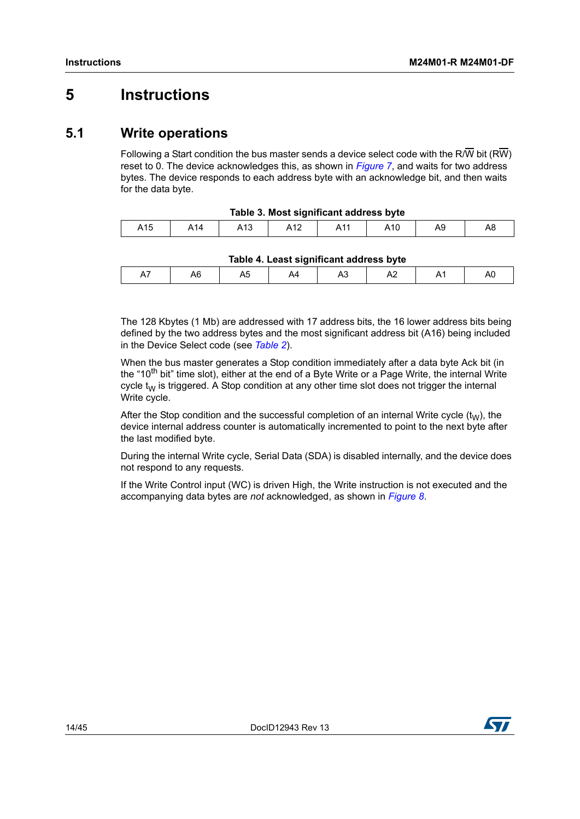## <span id="page-13-0"></span>**5 Instructions**

### <span id="page-13-1"></span>**5.1 Write operations**

Following a Start condition the bus master sends a device select code with the R/W bit (RW) reset to 0. The device acknowledges this, as shown in *[Figure](#page-14-1) 7*, and waits for two address bytes. The device responds to each address byte with an acknowledge bit, and then waits for the data byte.

<span id="page-13-2"></span>

| Table 3. Most significant address byte |  |                 |  |     |     |    |    |  |  |
|----------------------------------------|--|-----------------|--|-----|-----|----|----|--|--|
| A15                                    |  | A <sub>13</sub> |  | A11 | A10 | Α9 | Α8 |  |  |

| Table 4. Least significant address byte |
|-----------------------------------------|
|                                         |

<span id="page-13-3"></span>

| . | ∼ | ∼ | . | ∼ |  | . | ¬. |  |  |
|---|---|---|---|---|--|---|----|--|--|
|   |   |   |   |   |  |   |    |  |  |

The 128 Kbytes (1 Mb) are addressed with 17 address bits, the 16 lower address bits being defined by the two address bytes and the most significant address bit (A16) being included in the Device Select code (see *[Table](#page-12-1) 2*).

When the bus master generates a Stop condition immediately after a data byte Ack bit (in the "10<sup>th</sup> bit" time slot), either at the end of a Byte Write or a Page Write, the internal Write cycle  $t_W$  is triggered. A Stop condition at any other time slot does not trigger the internal Write cycle.

After the Stop condition and the successful completion of an internal Write cycle  $(t<sub>W</sub>)$ , the device internal address counter is automatically incremented to point to the next byte after the last modified byte.

During the internal Write cycle, Serial Data (SDA) is disabled internally, and the device does not respond to any requests.

If the Write Control input (WC) is driven High, the Write instruction is not executed and the accompanying data bytes are *not* acknowledged, as shown in *[Figure](#page-15-1) 8*.

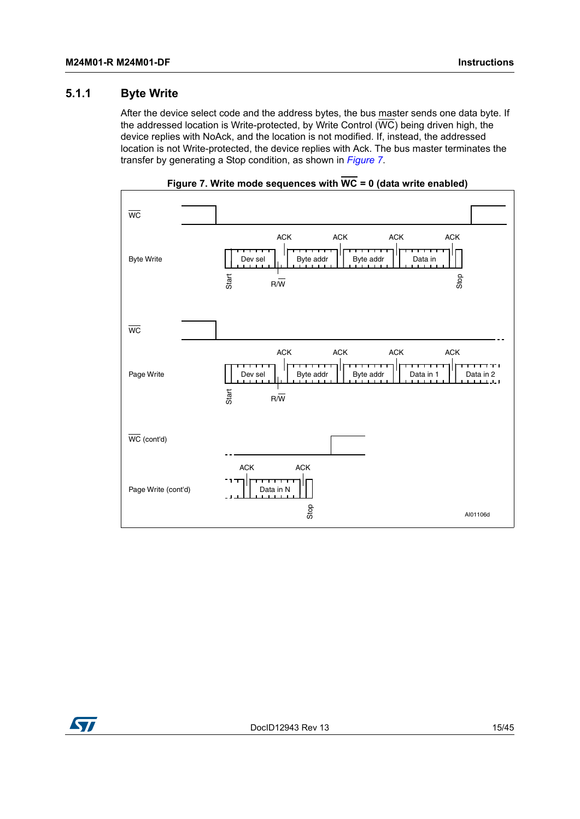### <span id="page-14-0"></span>**5.1.1 Byte Write**

After the device select code and the address bytes, the bus master sends one data byte. If the addressed location is Write-protected, by Write Control  $(\overline{WC})$  being driven high, the device replies with NoAck, and the location is not modified. If, instead, the addressed location is not Write-protected, the device replies with Ack. The bus master terminates the transfer by generating a Stop condition, as shown in *[Figure](#page-14-1) 7*.

<span id="page-14-1"></span>

**Figure 7. Write mode sequences with WC = 0 (data write enabled)**

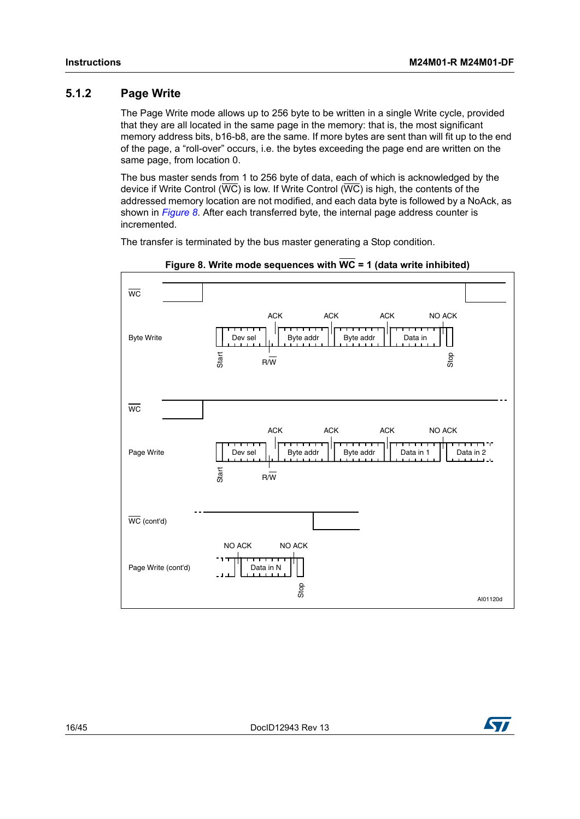### <span id="page-15-0"></span>**5.1.2 Page Write**

The Page Write mode allows up to 256 byte to be written in a single Write cycle, provided that they are all located in the same page in the memory: that is, the most significant memory address bits, b16-b8, are the same. If more bytes are sent than will fit up to the end of the page, a "roll-over" occurs, i.e. the bytes exceeding the page end are written on the same page, from location 0.

The bus master sends from 1 to 256 byte of data, each of which is acknowledged by the device if Write Control ( $\overline{WC}$ ) is low. If Write Control ( $\overline{WC}$ ) is high, the contents of the addressed memory location are not modified, and each data byte is followed by a NoAck, as shown in *[Figure](#page-15-1) 8*. After each transferred byte, the internal page address counter is incremented.

The transfer is terminated by the bus master generating a Stop condition.

<span id="page-15-1"></span>

**Figure 8. Write mode sequences with WC = 1 (data write inhibited)**

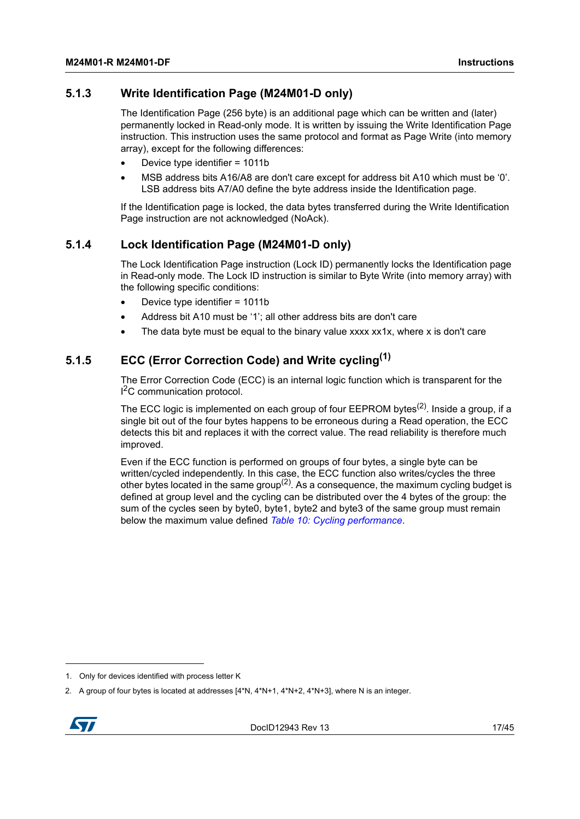### <span id="page-16-0"></span>**5.1.3 Write Identification Page (M24M01-D only)**

The Identification Page (256 byte) is an additional page which can be written and (later) permanently locked in Read-only mode. It is written by issuing the Write Identification Page instruction. This instruction uses the same protocol and format as Page Write (into memory array), except for the following differences:

- Device type identifier = 1011b
- MSB address bits A16/A8 are don't care except for address bit A10 which must be '0'. LSB address bits A7/A0 define the byte address inside the Identification page.

If the Identification page is locked, the data bytes transferred during the Write Identification Page instruction are not acknowledged (NoAck).

### <span id="page-16-1"></span>**5.1.4 Lock Identification Page (M24M01-D only)**

The Lock Identification Page instruction (Lock ID) permanently locks the Identification page in Read-only mode. The Lock ID instruction is similar to Byte Write (into memory array) with the following specific conditions:

- Device type identifier = 1011b
- Address bit A10 must be '1'; all other address bits are don't care
- The data byte must be equal to the binary value xxxx xx1x, where x is don't care

### <span id="page-16-2"></span>**5.1.5 ECC (Error Correction Code) and Write cycling(1)**

The Error Correction Code (ECC) is an internal logic function which is transparent for the <sup>2</sup>C communication protocol.

The ECC logic is implemented on each group of four EEPROM bytes<sup>(2)</sup>. Inside a group, if a single bit out of the four bytes happens to be erroneous during a Read operation, the ECC detects this bit and replaces it with the correct value. The read reliability is therefore much improved.

Even if the ECC function is performed on groups of four bytes, a single byte can be written/cycled independently. In this case, the ECC function also writes/cycles the three other bytes located in the same group<sup>(2)</sup>. As a consequence, the maximum cycling budget is defined at group level and the cycling can be distributed over the 4 bytes of the group: the sum of the cycles seen by byte0, byte1, byte2 and byte3 of the same group must remain below the maximum value defined *Table [10: Cycling performance](#page-24-0)*.

<sup>2.</sup> A group of four bytes is located at addresses [4\*N, 4\*N+1, 4\*N+2, 4\*N+3], where N is an integer.



<sup>1.</sup> Only for devices identified with process letter K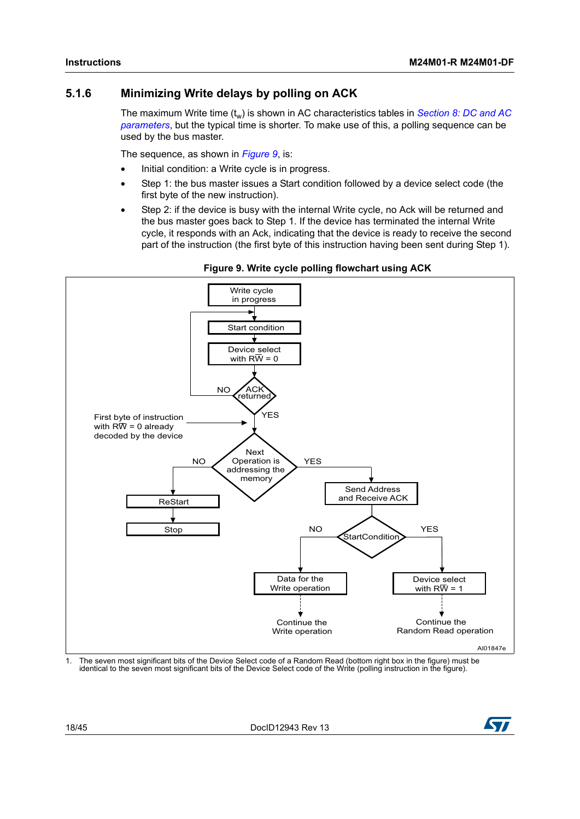### <span id="page-17-0"></span>**5.1.6 Minimizing Write delays by polling on ACK**

The maximum Write time (t<sub>w</sub>) is shown in AC characteristics tables in *Section 8: DC and AC [parameters](#page-23-0)*, but the typical time is shorter. To make use of this, a polling sequence can be used by the bus master.

The sequence, as shown in *[Figure](#page-17-1) 9*, is:

- Initial condition: a Write cycle is in progress.
- Step 1: the bus master issues a Start condition followed by a device select code (the first byte of the new instruction).
- Step 2: if the device is busy with the internal Write cycle, no Ack will be returned and the bus master goes back to Step 1. If the device has terminated the internal Write cycle, it responds with an Ack, indicating that the device is ready to receive the second part of the instruction (the first byte of this instruction having been sent during Step 1).

<span id="page-17-1"></span>

#### **Figure 9. Write cycle polling flowchart using ACK**

1. The seven most significant bits of the Device Select code of a Random Read (bottom right box in the figure) must be identical to the seven most significant bits of the Device Select code of the Write (polling instruction in the figure).

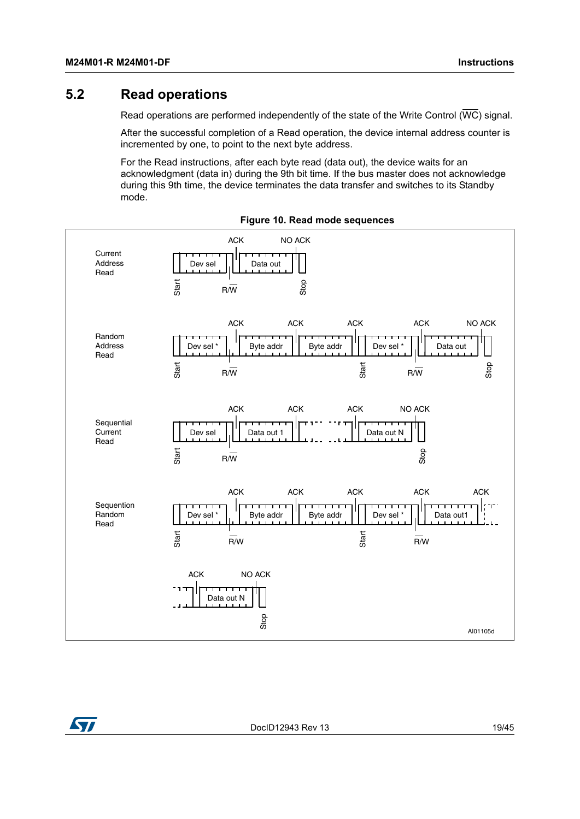## <span id="page-18-0"></span>**5.2 Read operations**

Read operations are performed independently of the state of the Write Control ( $\overline{\text{WC}}$ ) signal.

After the successful completion of a Read operation, the device internal address counter is incremented by one, to point to the next byte address.

<span id="page-18-1"></span>For the Read instructions, after each byte read (data out), the device waits for an acknowledgment (data in) during the 9th bit time. If the bus master does not acknowledge during this 9th time, the device terminates the data transfer and switches to its Standby mode.



**Figure 10. Read mode sequences**



DocID12943 Rev 13 19/[45](#page-44-0)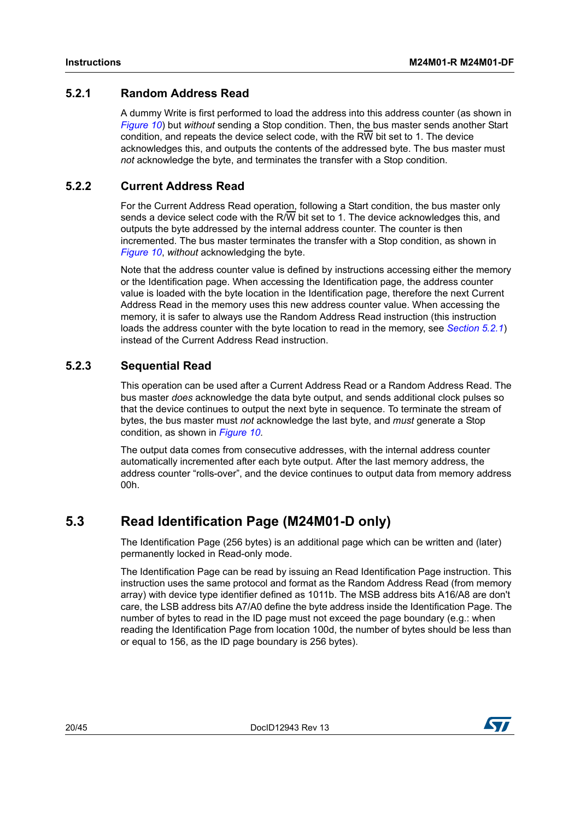### <span id="page-19-0"></span>**5.2.1 Random Address Read**

A dummy Write is first performed to load the address into this address counter (as shown in *[Figure](#page-18-1) 10*) but *without* sending a Stop condition. Then, the bus master sends another Start condition, and repeats the device select code, with the RW bit set to 1. The device acknowledges this, and outputs the contents of the addressed byte. The bus master must *not* acknowledge the byte, and terminates the transfer with a Stop condition.

### <span id="page-19-1"></span>**5.2.2 Current Address Read**

For the Current Address Read operation, following a Start condition, the bus master only sends a device select code with the R/W bit set to 1. The device acknowledges this, and outputs the byte addressed by the internal address counter. The counter is then incremented. The bus master terminates the transfer with a Stop condition, as shown in *[Figure](#page-18-1) 10*, *without* acknowledging the byte.

Note that the address counter value is defined by instructions accessing either the memory or the Identification page. When accessing the Identification page, the address counter value is loaded with the byte location in the Identification page, therefore the next Current Address Read in the memory uses this new address counter value. When accessing the memory, it is safer to always use the Random Address Read instruction (this instruction loads the address counter with the byte location to read in the memory, see *[Section](#page-19-0) 5.2.1*) instead of the Current Address Read instruction.

### <span id="page-19-2"></span>**5.2.3 Sequential Read**

This operation can be used after a Current Address Read or a Random Address Read. The bus master *does* acknowledge the data byte output, and sends additional clock pulses so that the device continues to output the next byte in sequence. To terminate the stream of bytes, the bus master must *not* acknowledge the last byte, and *must* generate a Stop condition, as shown in *[Figure](#page-18-1) 10*.

The output data comes from consecutive addresses, with the internal address counter automatically incremented after each byte output. After the last memory address, the address counter "rolls-over", and the device continues to output data from memory address 00h.

## <span id="page-19-3"></span>**5.3 Read Identification Page (M24M01-D only)**

The Identification Page (256 bytes) is an additional page which can be written and (later) permanently locked in Read-only mode.

The Identification Page can be read by issuing an Read Identification Page instruction. This instruction uses the same protocol and format as the Random Address Read (from memory array) with device type identifier defined as 1011b. The MSB address bits A16/A8 are don't care, the LSB address bits A7/A0 define the byte address inside the Identification Page. The number of bytes to read in the ID page must not exceed the page boundary (e.g.: when reading the Identification Page from location 100d, the number of bytes should be less than or equal to 156, as the ID page boundary is 256 bytes).

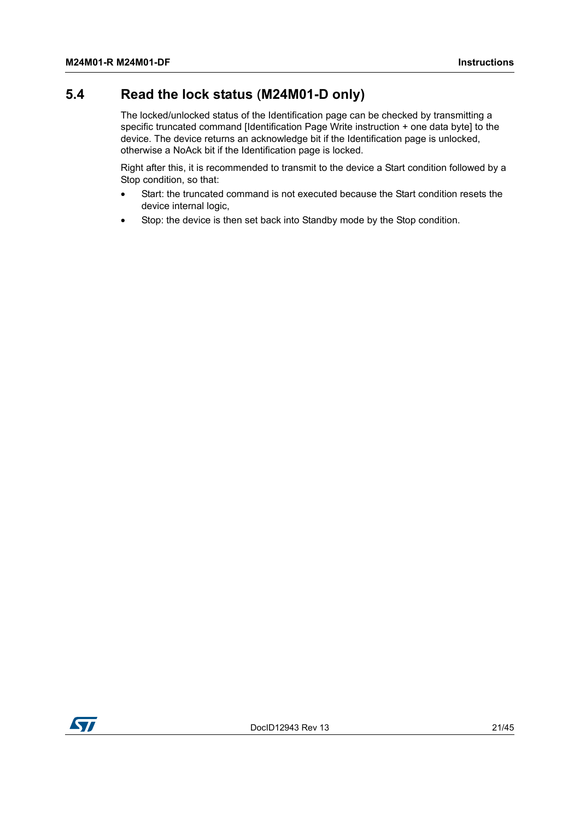## <span id="page-20-0"></span>**5.4 Read the lock status (M24M01-D only)**

The locked/unlocked status of the Identification page can be checked by transmitting a specific truncated command [Identification Page Write instruction + one data byte] to the device. The device returns an acknowledge bit if the Identification page is unlocked, otherwise a NoAck bit if the Identification page is locked.

Right after this, it is recommended to transmit to the device a Start condition followed by a Stop condition, so that:

- Start: the truncated command is not executed because the Start condition resets the device internal logic,
- Stop: the device is then set back into Standby mode by the Stop condition.

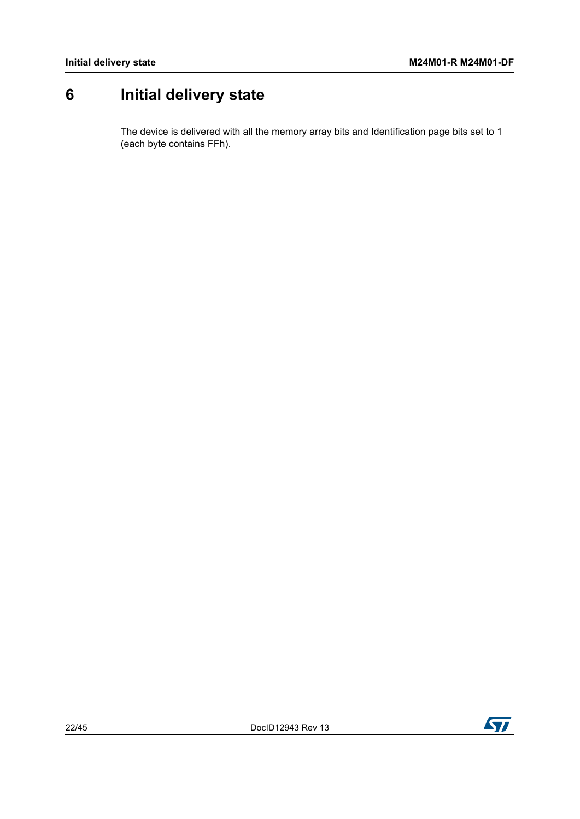# <span id="page-21-0"></span>**6 Initial delivery state**

The device is delivered with all the memory array bits and Identification page bits set to 1 (each byte contains FFh).

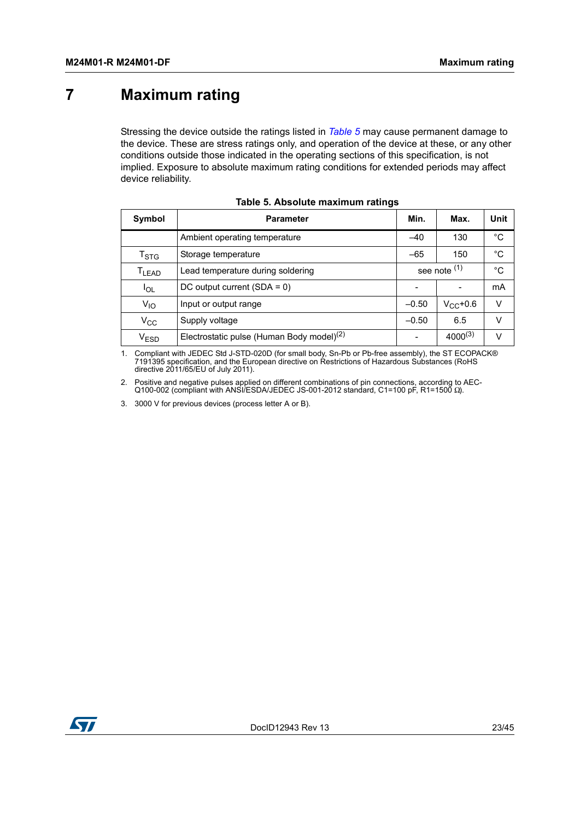# <span id="page-22-0"></span>**7 Maximum rating**

Stressing the device outside the ratings listed in *[Table](#page-22-1) 5* may cause permanent damage to the device. These are stress ratings only, and operation of the device at these, or any other conditions outside those indicated in the operating sections of this specification, is not implied. Exposure to absolute maximum rating conditions for extended periods may affect device reliability.

<span id="page-22-1"></span>

| Symbol                                             | <b>Parameter</b>                                      |         | Max.         | Unit |
|----------------------------------------------------|-------------------------------------------------------|---------|--------------|------|
|                                                    | Ambient operating temperature                         |         | 130          | °C   |
| Storage temperature<br>$\mathsf{T}_{\textsf{STG}}$ |                                                       | $-65$   | 150          | °C   |
| T <sub>LEAD</sub>                                  | see note (1)<br>Lead temperature during soldering     |         |              | °C   |
| $I_{OL}$                                           | DC output current $(SDA = 0)$                         |         |              | mA   |
| $V_{10}$                                           | Input or output range                                 | $-0.50$ | $V_{C}C+0.6$ | v    |
| $V_{\rm CC}$                                       | Supply voltage                                        | $-0.50$ | 6.5          | V    |
| $V_{ESD}$                                          | Electrostatic pulse (Human Body model) <sup>(2)</sup> |         | $4000^{(3)}$ | V    |

| Table 5. Absolute maximum ratings |  |  |  |  |
|-----------------------------------|--|--|--|--|
|-----------------------------------|--|--|--|--|

1. Compliant with JEDEC Std J-STD-020D (for small body, Sn-Pb or Pb-free assembly), the ST ECOPACK®<br>7191395 specification, and the European directive on Restrictions of Hazardous Substances (RoHS<br>directive 2011/65/EU of Ju

2. Positive and negative pulses applied on different combinations of pin connections, according to AEC-Q100-002 (compliant with ANSI/ESDA/JEDEC JS-001-2012 standard, C1=100 pF, R1=1500 Ω).

3. 3000 V for previous devices (process letter A or B).

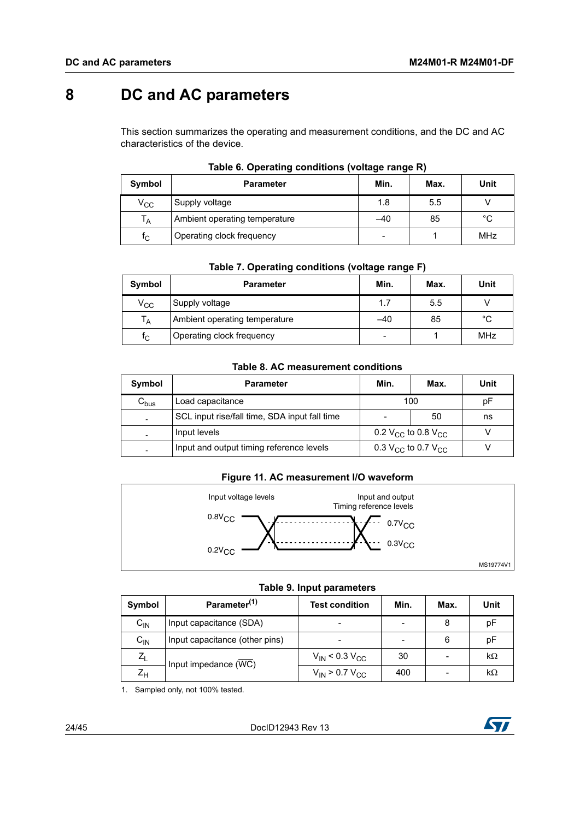# <span id="page-23-0"></span>**8 DC and AC parameters**

This section summarizes the operating and measurement conditions, and the DC and AC characteristics of the device.

<span id="page-23-1"></span>

| Symbol                  | <b>Parameter</b>              | Min.                     | Max. | <b>Unit</b>  |
|-------------------------|-------------------------------|--------------------------|------|--------------|
| $V_{\rm CC}$            | Supply voltage                | 1.8                      | 5.5  |              |
| $T_A$                   | Ambient operating temperature | $-40$                    | 85   | $^{\circ}$ C |
| $\mathsf{f}_\mathsf{C}$ | Operating clock frequency     | $\overline{\phantom{0}}$ |      | <b>MHz</b>   |

|  |  | Table 6. Operating conditions (voltage range R) |  |  |
|--|--|-------------------------------------------------|--|--|
|--|--|-------------------------------------------------|--|--|

<span id="page-23-2"></span>

| Symbol       | <b>Parameter</b>              | Min.  | Max. | Unit       |
|--------------|-------------------------------|-------|------|------------|
| $\rm v_{cc}$ | Supply voltage                | 1.7   | 5.5  |            |
| $T_A$        | Ambient operating temperature | $-40$ | 85   | °C         |
| $f_{\rm C}$  | Operating clock frequency     | -     |      | <b>MHz</b> |

#### **Table 8. AC measurement conditions**

<span id="page-23-3"></span>

| Symbol                    | <b>Parameter</b>                              |                                            | Max. | Unit |
|---------------------------|-----------------------------------------------|--------------------------------------------|------|------|
| $\mathsf{C}_\mathsf{bus}$ | Load capacitance                              | 100                                        |      | рF   |
|                           | SCL input rise/fall time, SDA input fall time |                                            | 50   | ns   |
|                           | Input levels                                  | 0.2 V <sub>CC</sub> to 0.8 V <sub>CC</sub> |      |      |
|                           | Input and output timing reference levels      | 0.3 V <sub>CC</sub> to 0.7 V <sub>CC</sub> |      |      |

#### **Figure 11. AC measurement I/O waveform**

<span id="page-23-5"></span>

#### **Table 9. Input parameters**

<span id="page-23-4"></span>

| Symbol           | Parameter <sup>(1)</sup>       | <b>Test condition</b>   | Min. | Max. | <b>Unit</b> |
|------------------|--------------------------------|-------------------------|------|------|-------------|
| $C_{IN}$         | Input capacitance (SDA)        |                         |      | 8    | рF          |
| $C_{IN}$         | Input capacitance (other pins) |                         |      | 6    | рF          |
| $Z_L$            | Input impedance (WC)           | $V_{IN}$ < 0.3 $V_{CC}$ | 30   |      | $k\Omega$   |
| $Z_{\mathsf{H}}$ |                                | $V_{IN}$ > 0.7 $V_{CC}$ | 400  |      | $k\Omega$   |

1. Sampled only, not 100% tested.

24/[45](#page-44-0) DocID12943 Rev 13

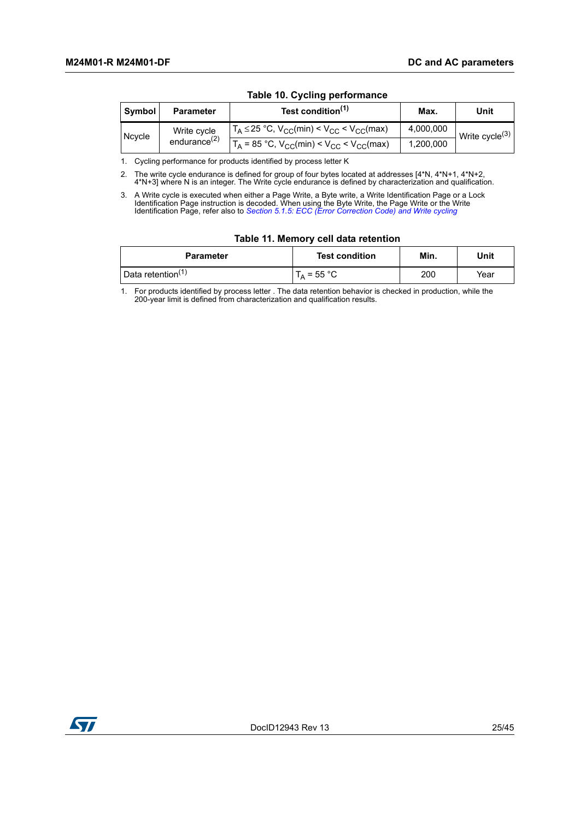<span id="page-24-0"></span>

| Symbol | <b>Parameter</b>   | Test condition <sup>(1)</sup>                                                  | Max.      | Unit              |
|--------|--------------------|--------------------------------------------------------------------------------|-----------|-------------------|
| Ncycle | Write cycle        | $T_A \le 25$ °C, $V_{CC}(min) < V_{CC} < V_{CC}(max)$                          | 4,000,000 | Write cycle $(3)$ |
|        | endurance $^{(2)}$ | $T_A$ = 85 °C, V <sub>CC</sub> (min) < V <sub>CC</sub> < V <sub>CC</sub> (max) | 1,200,000 |                   |

#### **Table 10. Cycling performance**

1. Cycling performance for products identified by process letter K

2. The write cycle endurance is defined for group of four bytes located at addresses [4\*N, 4\*N+1, 4\*N+2, 4\*N+3] where N is an integer. The Write cycle endurance is defined by characterization and qualification.

3. A Write cycle is executed when either a Page Write, a Byte write, a Write Identification Page or a Lock Identification Page instruction is decoded. When using the Byte Write, the Page Write or the Write Identification Page, refer also to *[Section 5.1.5: ECC \(Error Correction Code\) and Write cycling](#page-16-2)*

|  |  |  | Table 11. Memory cell data retention |  |
|--|--|--|--------------------------------------|--|
|--|--|--|--------------------------------------|--|

<span id="page-24-1"></span>

|  |                               | $1800$ $11.1001101$ $1.0011$ and $10001101$ |      |      |
|--|-------------------------------|---------------------------------------------|------|------|
|  | <b>Parameter</b>              | <b>Test condition</b>                       | Min. | Unit |
|  | Data retention <sup>(1)</sup> | $T_A = 55 °C$                               | 200  | Year |

1. For products identified by process letter . The data retention behavior is checked in production, while the 200-year limit is defined from characterization and qualification results.

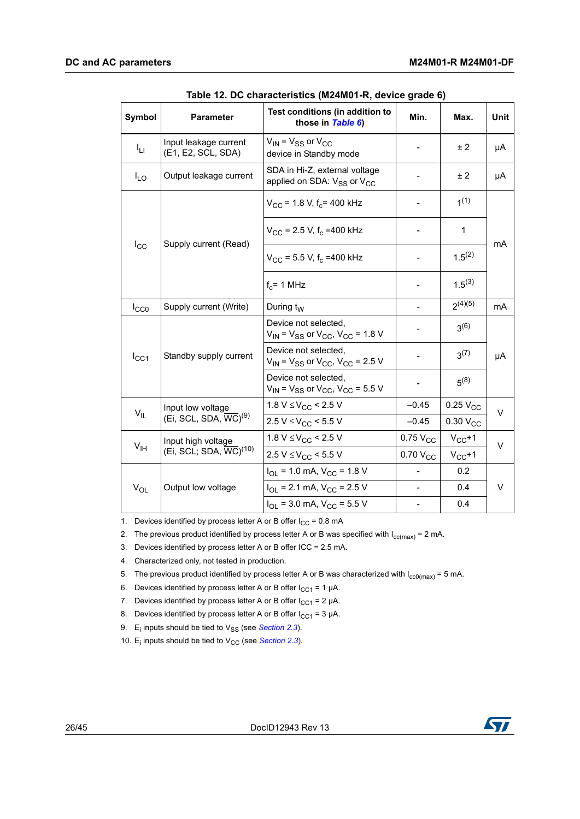<span id="page-25-0"></span>

| Symbol          | <b>Parameter</b>                                       | Test conditions (in addition to<br>those in Table 6)                                | Min.                     | Max.                 | <b>Unit</b> |  |
|-----------------|--------------------------------------------------------|-------------------------------------------------------------------------------------|--------------------------|----------------------|-------------|--|
| Iц              | Input leakage current<br>(E1, E2, SCL, SDA)            | $V_{IN}$ = $V_{SS}$ or $V_{CC}$<br>device in Standby mode                           |                          | ± 2                  | μA          |  |
| $I_{LO}$        | Output leakage current                                 | SDA in Hi-Z, external voltage<br>applied on SDA: V <sub>SS</sub> or V <sub>CC</sub> |                          | ±2                   | μA          |  |
|                 |                                                        | $V_{\rm CC}$ = 1.8 V, f <sub>c</sub> = 400 kHz                                      |                          | 1(1)                 |             |  |
| $I_{\rm CC}$    | Supply current (Read)                                  | $V_{\rm CC}$ = 2.5 V, f <sub>c</sub> = 400 kHz                                      |                          | $\mathbf{1}$         | mA          |  |
|                 |                                                        | $V_{CC}$ = 5.5 V, f <sub>c</sub> = 400 kHz                                          | $\overline{\phantom{a}}$ | $1.5^{(2)}$          |             |  |
|                 |                                                        | $f_c$ = 1 MHz                                                                       |                          | $1.5^{(3)}$          |             |  |
| $I_{CC0}$       | Supply current (Write)                                 | During $t_W$                                                                        |                          | $2^{(4)(5)}$         | mA          |  |
|                 | Standby supply current                                 | Device not selected.<br>$V_{IN}$ = $V_{SS}$ or $V_{CC}$ , $V_{CC}$ = 1.8 V          |                          | $3^{(6)}$            | μA          |  |
| $I_{CC1}$       |                                                        | Device not selected,<br>$V_{IN}$ = $V_{SS}$ or $V_{CC}$ , $V_{CC}$ = 2.5 V          |                          | $3^{(7)}$            |             |  |
|                 |                                                        | Device not selected,<br>$V_{IN}$ = $V_{SS}$ or $V_{CC}$ , $V_{CC}$ = 5.5 V          |                          | $5^{(8)}$            |             |  |
|                 | Input low voltage                                      | 1.8 $V \leq V_{CC}$ < 2.5 V                                                         | $-0.45$                  | $0.25$ $V_{CC}$      | $\vee$      |  |
| $V_{IL}$        | (Ei, SCL, SDA, $\overline{\text{WC}}$ ) <sup>(9)</sup> | $2.5 V \leq V_{CC}$ < 5.5 V                                                         | $-0.45$                  | 0.30 V <sub>CC</sub> |             |  |
|                 | Input high voltage                                     | 1.8 $V \leq V_{CC}$ < 2.5 V                                                         | $0.75$ $V_{CC}$          | $V_{CC}+1$           | $\vee$      |  |
| $V_{\text{IH}}$ | (Ei, SCL; SDA, WC) <sup>(10)</sup>                     | $2.5 V \leq V_{CC}$ < 5.5 V                                                         | $0.70 V_{CC}$            | $V_{CC}+1$           |             |  |
|                 |                                                        | $I_{OL}$ = 1.0 mA, $V_{CC}$ = 1.8 V                                                 |                          | 0.2                  |             |  |
| $V_{OL}$        | Output low voltage                                     | $I_{\text{OI}}$ = 2.1 mA, $V_{\text{CC}}$ = 2.5 V                                   |                          | 0.4                  | V           |  |
|                 |                                                        | $I_{\text{OI}}$ = 3.0 mA, $V_{\text{CC}}$ = 5.5 V                                   |                          | 0.4                  |             |  |

1. Devices identified by process letter A or B offer  $I_{CC} = 0.8$  mA

2. The previous product identified by process letter A or B was specified with  $I_{cc(max)} = 2$  mA.

3. Devices identified by process letter A or B offer ICC = 2.5 mA.

4. Characterized only, not tested in production.

5. The previous product identified by process letter A or B was characterized with  $I_{cc0(max)} = 5$  mA.

6. Devices identified by process letter A or B offer  $I_{CC1} = 1 \mu A$ .

7. Devices identified by process letter A or B offer  $I_{CC1} = 2 \mu A$ .

8. Devices identified by process letter A or B offer  $I_{CC1}$  = 3 µA.

- 9. E<sub>i</sub> inputs should be tied to V<sub>SS</sub> (see *[Section 2.3](#page-7-3)*).
- 10.  $E_i$  inputs should be tied to  $V_{CC}$  (see *[Section 2.3](#page-7-3)*).

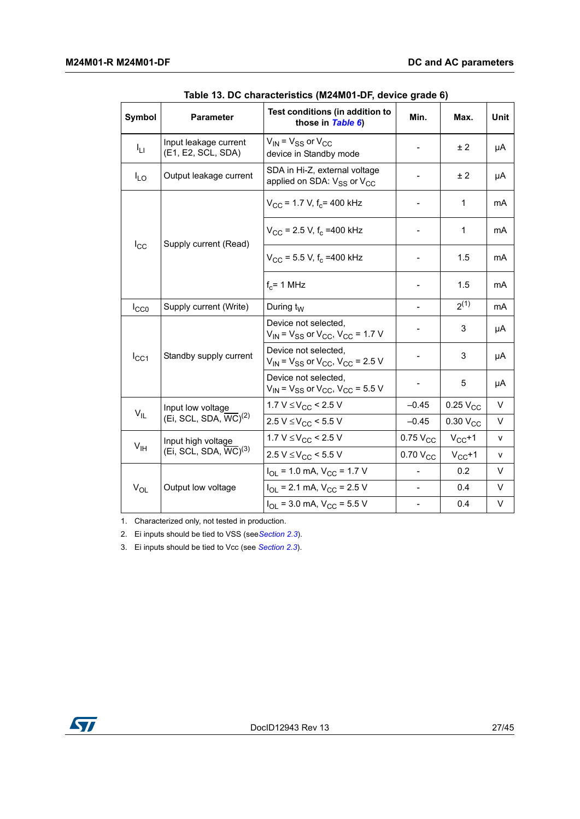<span id="page-26-0"></span>

| <b>Symbol</b>   | <b>Parameter</b>                                | Test conditions (in addition to<br>those in Table 6)                                | Min.          | Max.                 | <b>Unit</b> |
|-----------------|-------------------------------------------------|-------------------------------------------------------------------------------------|---------------|----------------------|-------------|
| Īц              | Input leakage current<br>(E1, E2, SCL, SDA)     | $V_{\text{IN}}$ = $V_{SS}$ or $V_{CC}$<br>device in Standby mode                    |               | ± 2                  | μA          |
| $I_{LO}$        | Output leakage current                          | SDA in Hi-Z, external voltage<br>applied on SDA: V <sub>SS</sub> or V <sub>CC</sub> |               | ± 2                  | μA          |
|                 |                                                 | $V_{\rm CC}$ = 1.7 V, f <sub>c</sub> = 400 kHz                                      |               | 1                    | mA          |
| $I_{\rm CC}$    | Supply current (Read)                           | $V_{CC}$ = 2.5 V, f <sub>c</sub> = 400 kHz                                          |               | 1                    | mA          |
|                 |                                                 | $V_{CC}$ = 5.5 V, f <sub>c</sub> = 400 kHz                                          | -             | 1.5                  | mA          |
|                 |                                                 | $f_c$ = 1 MHz                                                                       |               | 1.5                  | mA          |
| $I_{CC0}$       | Supply current (Write)                          | During $t_W$                                                                        |               | $2^{(1)}$            | mA          |
|                 |                                                 | Device not selected,<br>$V_{IN}$ = $V_{SS}$ or $V_{CC}$ , $V_{CC}$ = 1.7 V          |               | 3                    | μA          |
| $I_{CC1}$       | Standby supply current                          | Device not selected,<br>$V_{IN}$ = $V_{SS}$ or $V_{CC}$ , $V_{CC}$ = 2.5 V          |               | 3                    | μA          |
|                 |                                                 | Device not selected.<br>$V_{IN}$ = $V_{SS}$ or $V_{CC}$ , $V_{CC}$ = 5.5 V          |               | 5                    | μA          |
| $V_{IL}$        | Input low voltage                               | 1.7 V $\leq$ V <sub>CC</sub> < 2.5 V                                                | $-0.45$       | $0.25V_{CC}$         | V           |
|                 | (Ei, SCL, SDA, $\overline{WC}$ ) <sup>(2)</sup> | $2.5 V \leq V_{CC}$ < 5.5 V                                                         | $-0.45$       | 0.30 V <sub>CC</sub> | $\vee$      |
| V <sub>IH</sub> | Input high voltage                              | 1.7 $V \leq V_{CC}$ < 2.5 V                                                         | $0.75V_{CC}$  | $V_{CC}+1$           | V           |
|                 | (Ei, SCL, SDA, $\overline{WC}$ ) <sup>(3)</sup> | $2.5 V \leq V_{CC}$ < 5.5 V                                                         | $0.70 V_{CC}$ | $V_{CC}+1$           | v           |
|                 |                                                 | $I_{\text{OI}}$ = 1.0 mA, $V_{\text{CC}}$ = 1.7 V                                   |               | 0.2                  | V           |
| $V_{OL}$        | Output low voltage                              | $I_{\text{OI}}$ = 2.1 mA, $V_{\text{CC}}$ = 2.5 V                                   |               | 0.4                  | V           |
|                 |                                                 | $I_{\text{OL}}$ = 3.0 mA, $V_{\text{CC}}$ = 5.5 V                                   |               | 0.4                  | V           |

**Table 13. DC characteristics (M24M01-DF, device grade 6)** 

1. Characterized only, not tested in production.

2. Ei inputs should be tied to VSS (see*[Section 2.3](#page-7-3)*).

3. Ei inputs should be tied to Vcc (see *[Section 2.3](#page-7-3)*).

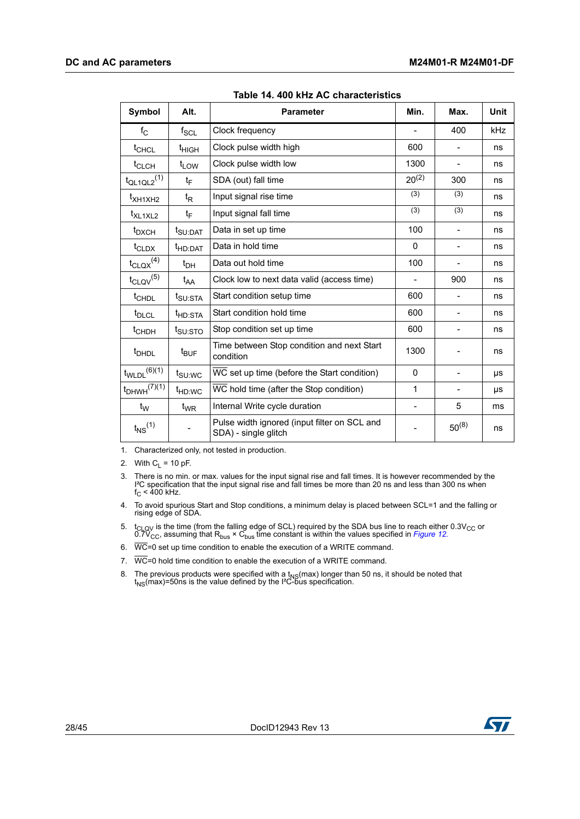<span id="page-27-0"></span>

| <b>Symbol</b>                | Alt.                | <b>Parameter</b>                                                     | Min.         | Max.       | <b>Unit</b> |
|------------------------------|---------------------|----------------------------------------------------------------------|--------------|------------|-------------|
| $f_{\rm C}$                  | $f_{\rm SCL}$       | Clock frequency                                                      |              | 400        | kHz         |
| $t_{CHCL}$                   | t <sub>HIGH</sub>   | Clock pulse width high                                               | 600          |            | ns          |
| t <sub>CLCH</sub>            | $t_{LOW}$           | Clock pulse width low                                                | 1300         |            | ns          |
| $t_{QL1QL2}$ <sup>(1)</sup>  | tF                  | SDA (out) fall time                                                  | $20^{(2)}$   | 300        | ns          |
| t <sub>XH1XH2</sub>          | t <sub>R</sub>      | Input signal rise time                                               | (3)          | (3)        | ns          |
| t <sub>XL1XL2</sub>          | t⊧                  | Input signal fall time                                               | (3)          | (3)        | ns          |
| t <sub>DXCH</sub>            | t <sub>SU:DAT</sub> | Data in set up time                                                  | 100          |            | ns          |
| $t_{\text{CLDX}}$            | <sup>t</sup> HD:DAT | Data in hold time                                                    | $\Omega$     |            | ns          |
| $t_{\text{CLQX}}^{(4)}$      | $t_{DH}$            | Data out hold time                                                   | 100          |            | ns          |
| $t_{\text{CLQV}}^{(5)}$      | $t_{AA}$            | Clock low to next data valid (access time)                           |              | 900        | ns          |
| t <sub>CHDL</sub>            | t <sub>SU:STA</sub> | Start condition setup time                                           | 600          |            | ns          |
| t <sub>DLCL</sub>            | <sup>t</sup> HD:STA | Start condition hold time                                            | 600          |            | ns          |
| t <sub>CHDH</sub>            | $t_{\text{SU:STO}}$ | Stop condition set up time                                           | 600          |            | ns          |
| <sup>t</sup> DHDL            | $t_{\text{BUF}}$    | Time between Stop condition and next Start<br>condition              | 1300         |            | ns          |
| $t_{WLDL}$ <sup>(6)(1)</sup> | $t_{\text{SU:WC}}$  | WC set up time (before the Start condition)                          | $\mathbf{0}$ |            | μs          |
| $t_{DHWH}$ $(7)(1)$          | t <sub>HD:WC</sub>  | WC hold time (after the Stop condition)                              | 1            |            | μs          |
| $t_{\mathsf{W}}$             | $t_{WR}$            | Internal Write cycle duration                                        |              | 5          | ms          |
| $t_{NS}$ <sup>(1)</sup>      |                     | Pulse width ignored (input filter on SCL and<br>SDA) - single glitch |              | $50^{(8)}$ | ns          |

**Table 14. 400 kHz AC characteristics** 

1. Characterized only, not tested in production.

2. With  $C_L$  = 10 pF.

3. There is no min. or max. values for the input signal rise and fall times. It is however recommended by the l<del>'</del>C specification that the input signal rise and fall times be more than 20 ns and less than 300 ns when<br>f<sub>C</sub> < 400 kHz.

4. To avoid spurious Start and Stop conditions, a minimum delay is placed between SCL=1 and the falling or rising edge of SDA.

5.  $t_{\text{CLOV}}$  is the time (from the falling edge of SCL) required by the SDA bus line to reach either 0.3V<sub>CC</sub> or 0.7V<sub>CC</sub>, assuming that R<sub>bus</sub> × C<sub>bus</sub> time constant is within the values specified in *[Figure 12](#page-29-0).* 

6.  $\overline{WC}$ =0 set up time condition to enable the execution of a WRITE command.

7.  $\overline{WC}$  =0 hold time condition to enable the execution of a WRITE command.

8. The previous products were specified with a  $t_{NS}(max)$  longer than 50 ns, it should be noted that  $t_{NS}(max)=50$ ns is the value defined by the I<sup>2</sup>C-bus specification.

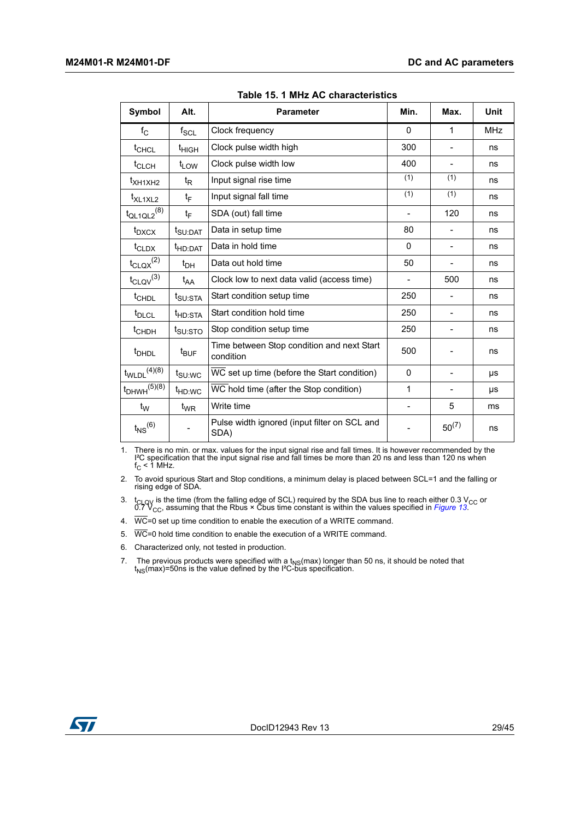<span id="page-28-0"></span>

| Symbol                       | Alt.                | <b>Parameter</b>                                        | Min.                     | Max.                     | Unit       |
|------------------------------|---------------------|---------------------------------------------------------|--------------------------|--------------------------|------------|
| $f_{\rm C}$                  | $f_{\mathsf{SCL}}$  | Clock frequency                                         | $\Omega$                 | 1                        | <b>MHz</b> |
| t <sub>CHCL</sub>            | t <sub>HIGH</sub>   | Clock pulse width high                                  | 300                      | $\overline{\phantom{a}}$ | ns         |
| t <sub>CLCH</sub>            | $t_{LOW}$           | Clock pulse width low                                   | 400                      |                          | ns         |
| t <sub>XH1XH2</sub>          | t <sub>R</sub>      | Input signal rise time                                  | (1)                      | (1)                      | ns         |
| t <sub>XL1XL2</sub>          | tF                  | Input signal fall time                                  | (1)                      | (1)                      | ns         |
| $t_{QL1QL2}$ <sup>(8)</sup>  | t <sub>F</sub>      | SDA (out) fall time                                     |                          | 120                      | ns         |
| $t_{DXCX}$                   | t <sub>SU:DAT</sub> | Data in setup time                                      | 80                       |                          | ns         |
| $t_{\text{CLDX}}$            | t <sub>HD:DAT</sub> | Data in hold time                                       | 0                        | $\overline{\phantom{a}}$ | ns         |
| $t_{\text{CLQX}}^{(2)}$      | $t_{DH}$            | Data out hold time                                      | 50                       |                          | ns         |
| $t_{\text{CLQV}}^{(3)}$      | t <sub>AA</sub>     | Clock low to next data valid (access time)              |                          | 500                      | ns         |
| t <sub>CHDL</sub>            | $t_{\text{SU:STA}}$ | Start condition setup time                              | 250                      |                          | ns         |
| t <sub>DLCL</sub>            | t <sub>HD:STA</sub> | Start condition hold time                               | 250                      |                          | ns         |
| t <sub>CHDH</sub>            | t <sub>SU:STO</sub> | Stop condition setup time                               | 250                      |                          | ns         |
| t <sub>DHDL</sub>            | $t_{\text{BUF}}$    | Time between Stop condition and next Start<br>condition | 500                      |                          | ns         |
| $t_{WLDL}$ <sup>(4)(8)</sup> | $t_{\text{SU}:WC}$  | WC set up time (before the Start condition)             | 0                        |                          | μs         |
| $t_{DHWH}^{(5)(8)}$          | <sup>t</sup> HD:WC  | WC hold time (after the Stop condition)                 | 1                        |                          | μs         |
| $t_{\mathsf{W}}$             | $t_{WR}$            | Write time                                              | $\overline{\phantom{0}}$ | 5                        | ms         |
| $t_{NS}^{(6)}$               |                     | Pulse width ignored (input filter on SCL and<br>SDA)    |                          | $50^{(7)}$               | ns         |

**Table 15. 1 MHz AC characteristics** 

1. There is no min. or max. values for the input signal rise and fall times. It is however recommended by the I<sup>2</sup>C specification that the input signal rise and fall times be more than 20 ns and less than 120 ns when  $f_C <$ 

2. To avoid spurious Start and Stop conditions, a minimum delay is placed between SCL=1 and the falling or rising edge of SDA.

3. t<sub>CLQV</sub> is the time (from the falling edge of SCL) required by the SDA bus line to reach either 0.3 V<sub>CC</sub> or 0.7 V<sub>CC</sub>, assuming that the Rbus × Cbus time constant is within the values specified in *[Figure 13](#page-29-1)*.

4.  $\overline{WC}$ =0 set up time condition to enable the execution of a WRITE command.

5.  $\overline{WC}$ =0 hold time condition to enable the execution of a WRITE command.

6. Characterized only, not tested in production.

7. The previous products were specified with a  $t_{NS}$ (max) longer than 50 ns, it should be noted that  $t_{NS}$ (max)=50ns is the value defined by the I<sup>2</sup>C-bus specification.

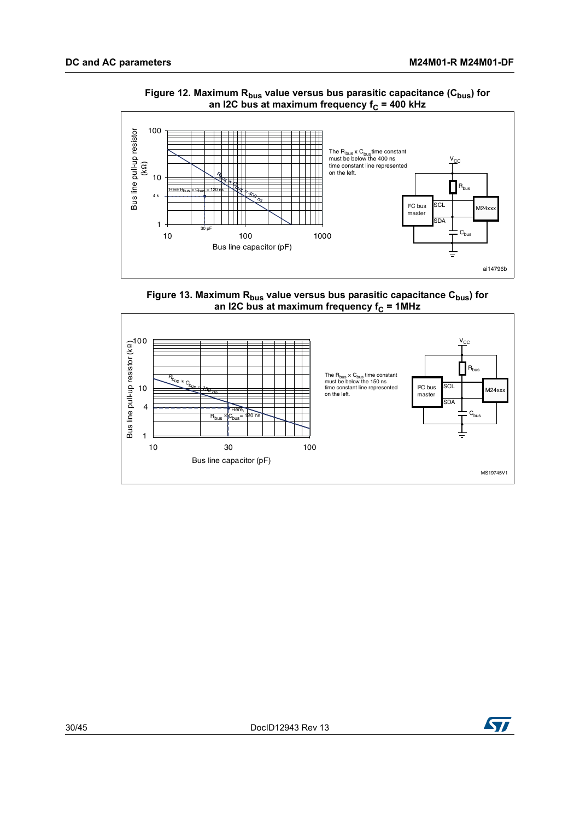<span id="page-29-0"></span>

#### Figure 12. Maximum R<sub>bus</sub> value versus bus parasitic capacitance (C<sub>bus</sub>) for an I2C bus at maximum frequency f<sub>C</sub> = 400 kHz

Figure 13. Maximum R<sub>bus</sub> value versus bus parasitic capacitance C<sub>bus</sub>) for an I2C bus at maximum frequency f<sub>C</sub> = 1MHz

<span id="page-29-1"></span>

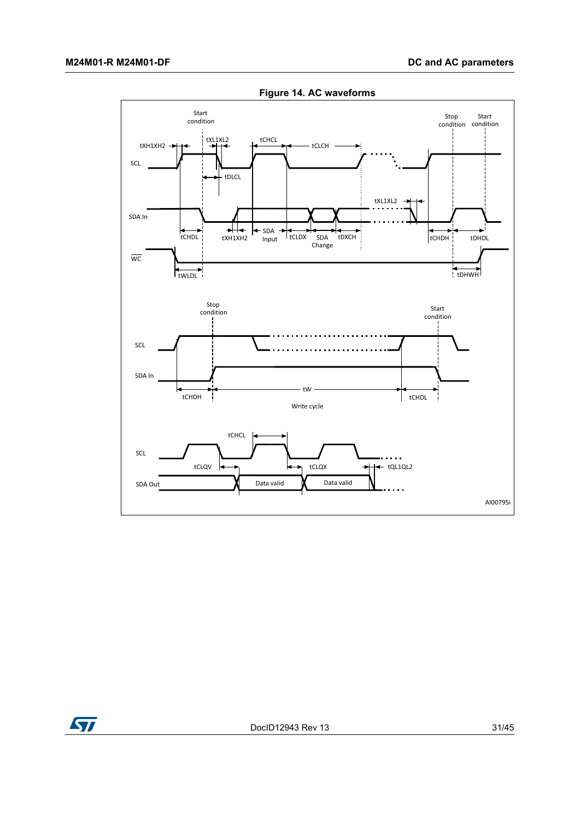<span id="page-30-0"></span>

**Figure 14. AC waveforms** 

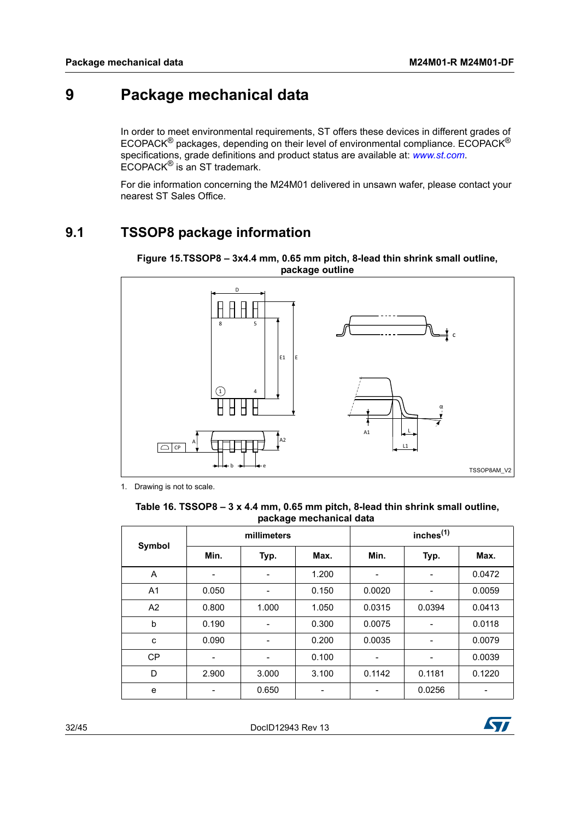# <span id="page-31-0"></span>**9 Package mechanical data**

In order to meet environmental requirements, ST offers these devices in different grades of ECOPACK® packages, depending on their level of environmental compliance. ECOPACK® specifications, grade definitions and product status are available at: *www.st.com*. ECOPACK® is an ST trademark.

For die information concerning the M24M01 delivered in unsawn wafer, please contact your nearest ST Sales Office.

### <span id="page-31-1"></span>**9.1 TSSOP8 package information**



<span id="page-31-3"></span>**Figure 15.TSSOP8 – 3x4.4 mm, 0.65 mm pitch, 8-lead thin shrink small outline, package outline**

1. Drawing is not to scale.

#### <span id="page-31-2"></span>**Table 16. TSSOP8 – 3 x 4.4 mm, 0.65 mm pitch, 8-lead thin shrink small outline, package mechanical data**

|                |       | millimeters |       |        | inches <sup>(1)</sup> |        |
|----------------|-------|-------------|-------|--------|-----------------------|--------|
| Symbol         | Min.  | Typ.        | Max.  | Min.   | Typ.                  | Max.   |
| A              |       | -           | 1.200 |        | ۰                     | 0.0472 |
| A <sub>1</sub> | 0.050 | -           | 0.150 | 0.0020 |                       | 0.0059 |
| A <sub>2</sub> | 0.800 | 1.000       | 1.050 | 0.0315 | 0.0394                | 0.0413 |
| b              | 0.190 |             | 0.300 | 0.0075 |                       | 0.0118 |
| c              | 0.090 |             | 0.200 | 0.0035 |                       | 0.0079 |
| <b>CP</b>      |       | -           | 0.100 |        | -                     | 0.0039 |
| D              | 2.900 | 3.000       | 3.100 | 0.1142 | 0.1181                | 0.1220 |
| e              |       | 0.650       |       |        | 0.0256                |        |

32/[45](#page-44-0) DocID12943 Rev 13

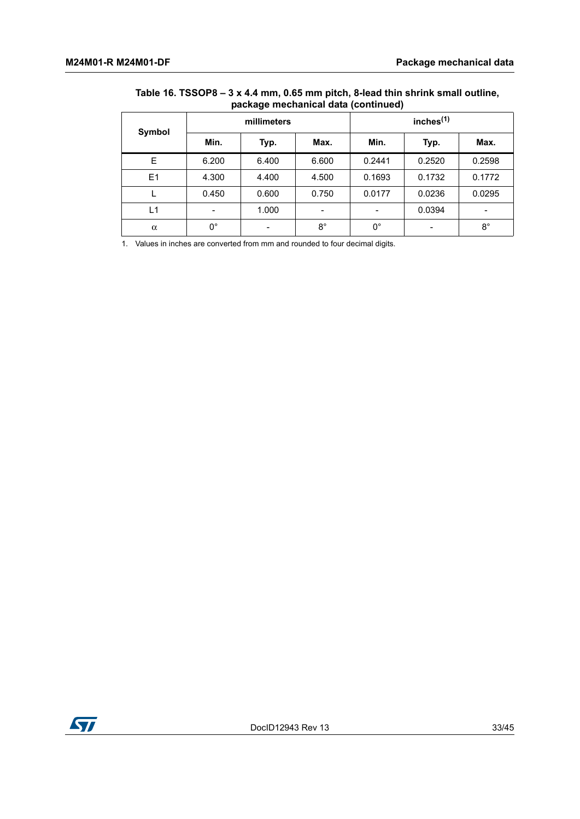#### **Table 16. TSSOP8 – 3 x 4.4 mm, 0.65 mm pitch, 8-lead thin shrink small outline, package mechanical data (continued)**

|          |                          | millimeters              |             |             | inches $(1)$             |             |
|----------|--------------------------|--------------------------|-------------|-------------|--------------------------|-------------|
| Symbol   | Min.                     | Typ.                     | Max.        | Min.        | Typ.                     | Max.        |
| E        | 6.200                    | 6.400                    | 6.600       | 0.2441      | 0.2520                   | 0.2598      |
| E1       | 4.300                    | 4.400                    | 4.500       | 0.1693      | 0.1732                   | 0.1772      |
|          | 0.450                    | 0.600                    | 0.750       | 0.0177      | 0.0236                   | 0.0295      |
| L1       | $\overline{\phantom{0}}$ | 1.000                    | -           | -           | 0.0394                   | -           |
| $\alpha$ | $0^{\circ}$              | $\overline{\phantom{a}}$ | $8^{\circ}$ | $0^{\circ}$ | $\overline{\phantom{a}}$ | $8^{\circ}$ |

1. Values in inches are converted from mm and rounded to four decimal digits.

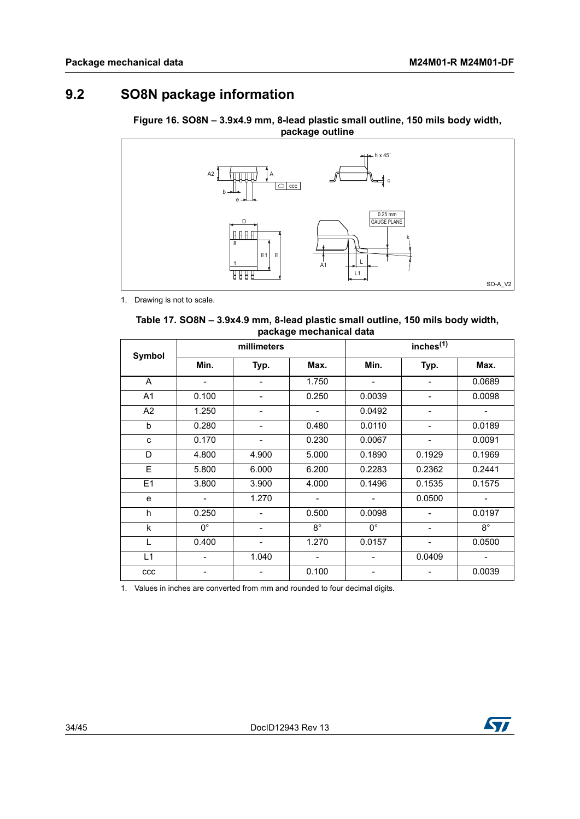## <span id="page-33-0"></span>**9.2 SO8N package information**

<span id="page-33-2"></span>**Figure 16. SO8N – 3.9x4.9 mm, 8-lead plastic small outline, 150 mils body width, package outline**



1. Drawing is not to scale.

<span id="page-33-1"></span>

| Table 17. SO8N – 3.9x4.9 mm, 8-lead plastic small outline, 150 mils body width, |  |
|---------------------------------------------------------------------------------|--|
| package mechanical data                                                         |  |

| Symbol         |             | millimeters              |                              | inches <sup>(1)</sup> |                          |                          |
|----------------|-------------|--------------------------|------------------------------|-----------------------|--------------------------|--------------------------|
|                | Min.        | Typ.                     | Max.                         | Min.                  | Typ.                     | Max.                     |
| A              |             | $\overline{\phantom{0}}$ | 1.750                        |                       | $\overline{\phantom{a}}$ | 0.0689                   |
| A <sub>1</sub> | 0.100       | -                        | 0.250                        | 0.0039                | $\overline{\phantom{a}}$ | 0.0098                   |
| A <sub>2</sub> | 1.250       | -                        |                              | 0.0492                | $\overline{\phantom{a}}$ |                          |
| b              | 0.280       | -                        | 0.480                        | 0.0110                | $\overline{\phantom{0}}$ | 0.0189                   |
| C              | 0.170       | $\overline{a}$           | 0.230                        | 0.0067                |                          | 0.0091                   |
| D              | 4.800       | 4.900                    | 5.000                        | 0.1890                | 0.1929                   | 0.1969                   |
| E              | 5.800       | 6.000                    | 6.200                        | 0.2283                | 0.2362                   | 0.2441                   |
| E1             | 3.800       | 3.900                    | 4.000                        | 0.1496                | 0.1535                   | 0.1575                   |
| e              |             | 1.270                    | $\qquad \qquad \blacksquare$ |                       | 0.0500                   | $\overline{\phantom{a}}$ |
| h              | 0.250       | $\overline{\phantom{0}}$ | 0.500                        | 0.0098                |                          | 0.0197                   |
| k              | $0^{\circ}$ | $\overline{\phantom{a}}$ | $8^{\circ}$                  | $0^{\circ}$           | $\overline{\phantom{a}}$ | $8^{\circ}$              |
| T.             | 0.400       | $\overline{\phantom{0}}$ | 1.270                        | 0.0157                | $\overline{a}$           | 0.0500                   |
| L1             |             | 1.040                    |                              |                       | 0.0409                   |                          |
| ccc            |             |                          | 0.100                        |                       |                          | 0.0039                   |

1. Values in inches are converted from mm and rounded to four decimal digits.

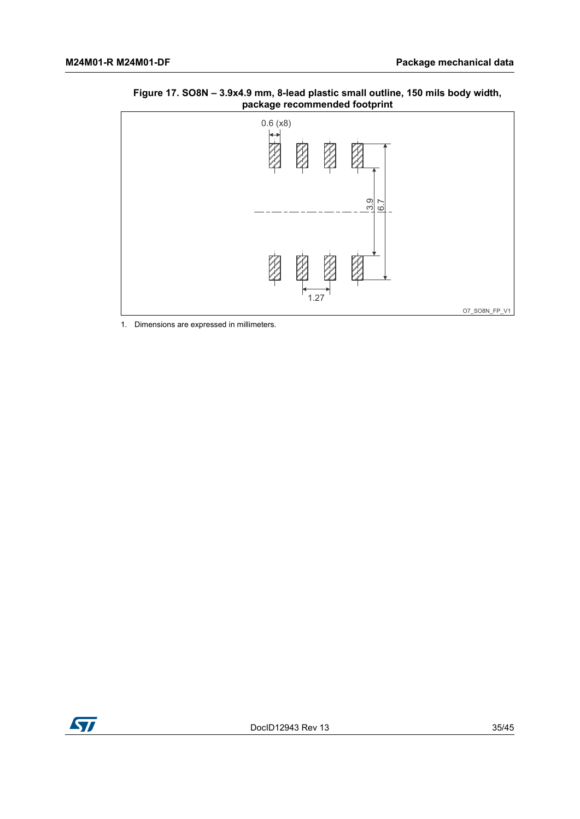<span id="page-34-0"></span>



1. Dimensions are expressed in millimeters.

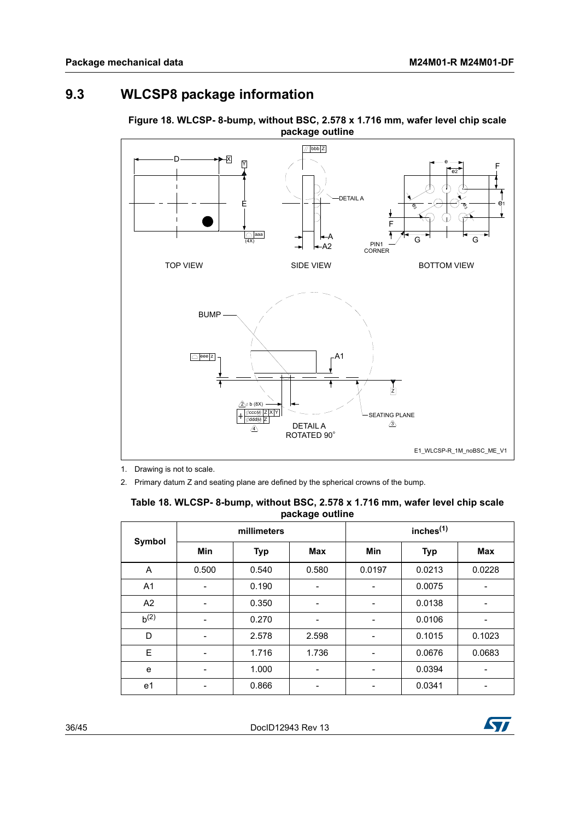## <span id="page-35-0"></span>**9.3 WLCSP8 package information**



<span id="page-35-2"></span>**Figure 18. WLCSP- 8-bump, without BSC, 2.578 x 1.716 mm, wafer level chip scale package outline**

1. Drawing is not to scale.

2. Primary datum Z and seating plane are defined by the spherical crowns of the bump.

|                |             |            | pasnago vamno |                       |            |            |
|----------------|-------------|------------|---------------|-----------------------|------------|------------|
|                | millimeters |            |               | inches <sup>(1)</sup> |            |            |
| <b>Symbol</b>  | <b>Min</b>  | <b>Typ</b> | <b>Max</b>    | Min                   | <b>Typ</b> | <b>Max</b> |
| A              | 0.500       | 0.540      | 0.580         | 0.0197                | 0.0213     | 0.0228     |
| A <sub>1</sub> |             | 0.190      |               |                       | 0.0075     |            |
| A2             |             | 0.350      | -             |                       | 0.0138     | ۰          |
| $b^{(2)}$      |             | 0.270      | -             |                       | 0.0106     |            |
| D              |             | 2.578      | 2.598         |                       | 0.1015     | 0.1023     |
| E              |             | 1.716      | 1.736         |                       | 0.0676     | 0.0683     |
| e              | -           | 1.000      |               |                       | 0.0394     |            |
| e <sub>1</sub> |             | 0.866      |               |                       | 0.0341     |            |

<span id="page-35-1"></span>

| Table 18. WLCSP- 8-bump, without BSC, 2.578 x 1.716 mm, wafer level chip scale |                 |  |  |
|--------------------------------------------------------------------------------|-----------------|--|--|
|                                                                                | package outline |  |  |

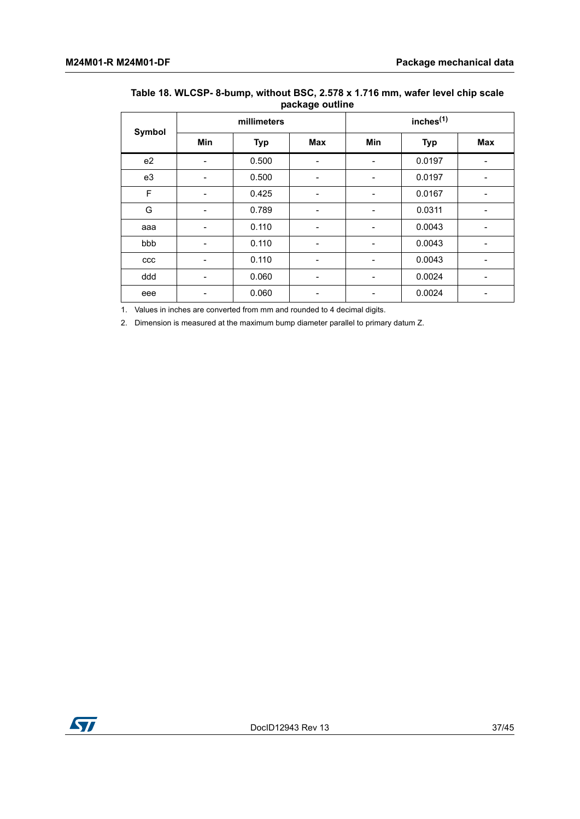|        |     | millimeters | $\tilde{\phantom{a}}$ | inches <sup>(1)</sup> |            |            |
|--------|-----|-------------|-----------------------|-----------------------|------------|------------|
| Symbol | Min | <b>Typ</b>  | Max                   | Min                   | <b>Typ</b> | <b>Max</b> |
| e2     | ۰   | 0.500       | -                     |                       | 0.0197     |            |
| e3     | -   | 0.500       | -                     | ۰                     | 0.0197     |            |
| F      | -   | 0.425       | -                     | ۰                     | 0.0167     |            |
| G      | -   | 0.789       | -                     |                       | 0.0311     |            |
| aaa    | -   | 0.110       | -                     | ۰                     | 0.0043     | -          |
| bbb    |     | 0.110       |                       |                       | 0.0043     |            |
| ccc    | -   | 0.110       | -                     | -                     | 0.0043     | -          |
| ddd    | -   | 0.060       | -                     | -                     | 0.0024     |            |
| eee    |     | 0.060       | -                     |                       | 0.0024     |            |

### **Table 18. WLCSP- 8-bump, without BSC, 2.578 x 1.716 mm, wafer level chip scale package outline**

1. Values in inches are converted from mm and rounded to 4 decimal digits.

2. Dimension is measured at the maximum bump diameter parallel to primary datum Z.

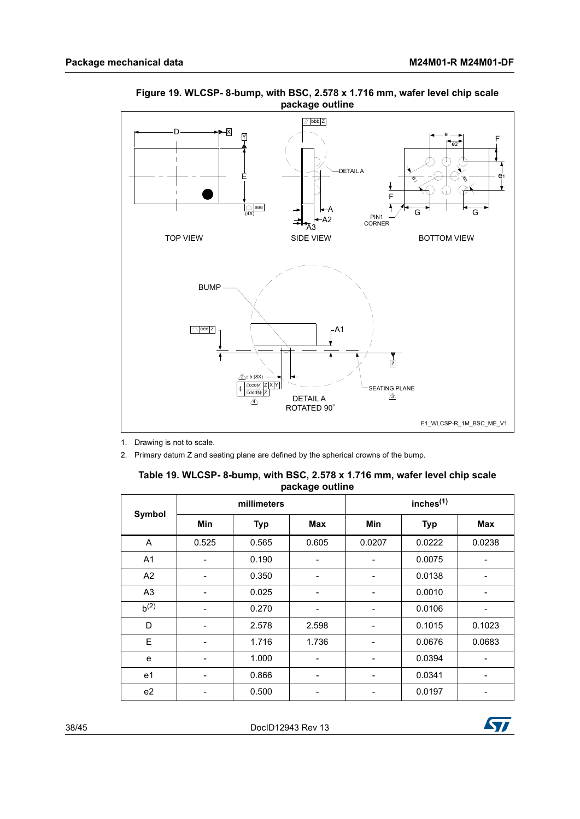

#### <span id="page-37-1"></span>**Figure 19. WLCSP- 8-bump, with BSC, 2.578 x 1.716 mm, wafer level chip scale package outline**

1. Drawing is not to scale.

2. Primary datum Z and seating plane are defined by the spherical crowns of the bump.

<span id="page-37-0"></span>

| Table 19. WLCSP-8-bump, with BSC, 2.578 x 1.716 mm, wafer level chip scale |
|----------------------------------------------------------------------------|
| package outline                                                            |

|                | millimeters |            |                          | inches <sup>(1)</sup> |            |                              |  |
|----------------|-------------|------------|--------------------------|-----------------------|------------|------------------------------|--|
| <b>Symbol</b>  | Min         | <b>Typ</b> | <b>Max</b>               | <b>Min</b>            | <b>Typ</b> | <b>Max</b>                   |  |
| A              | 0.525       | 0.565      | 0.605                    | 0.0207                | 0.0222     | 0.0238                       |  |
| A1             |             | 0.190      |                          |                       | 0.0075     |                              |  |
| A2             |             | 0.350      |                          |                       | 0.0138     |                              |  |
| A <sub>3</sub> |             | 0.025      |                          |                       | 0.0010     |                              |  |
| $b^{(2)}$      |             | 0.270      | ۰                        |                       | 0.0106     |                              |  |
| D              |             | 2.578      | 2.598                    |                       | 0.1015     | 0.1023                       |  |
| E              |             | 1.716      | 1.736                    |                       | 0.0676     | 0.0683                       |  |
| e              | -           | 1.000      | $\overline{\phantom{0}}$ | -                     | 0.0394     | $\qquad \qquad \blacksquare$ |  |
| e <sub>1</sub> |             | 0.866      | -                        |                       | 0.0341     | -                            |  |
| e2             |             | 0.500      |                          |                       | 0.0197     |                              |  |

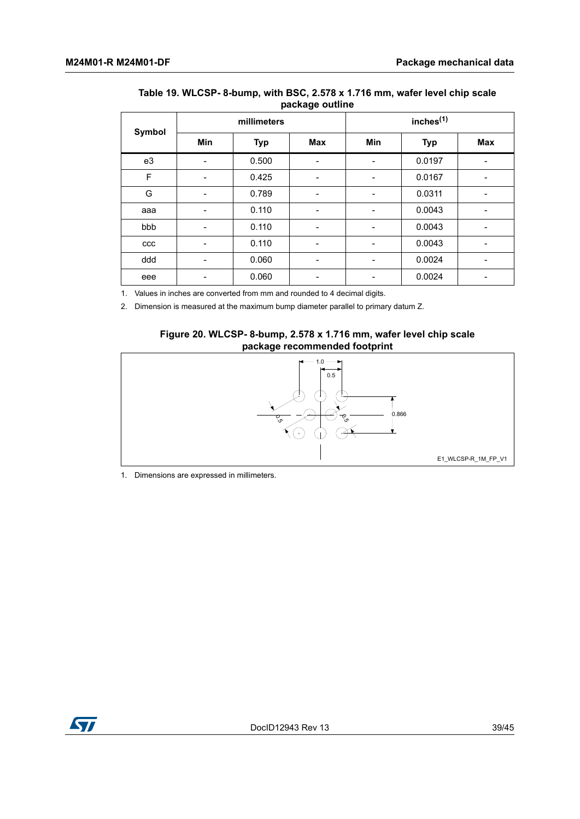| $\tilde{\phantom{a}}$ |             |            |                          |                       |            |     |  |
|-----------------------|-------------|------------|--------------------------|-----------------------|------------|-----|--|
|                       | millimeters |            |                          | inches <sup>(1)</sup> |            |     |  |
| Symbol                | Min         | <b>Typ</b> | <b>Max</b>               | Min                   | <b>Typ</b> | Max |  |
| e3                    | ۰           | 0.500      | $\overline{\phantom{0}}$ | -                     | 0.0197     | ۳   |  |
| $\mathsf F$           | ۰           | 0.425      | $\overline{\phantom{0}}$ | -                     | 0.0167     |     |  |
| G                     | -           | 0.789      | -                        | -                     | 0.0311     |     |  |
| aaa                   | ۰           | 0.110      | $\overline{\phantom{0}}$ |                       | 0.0043     | -   |  |
| bbb                   |             | 0.110      |                          |                       | 0.0043     |     |  |
| ccc                   |             | 0.110      |                          |                       | 0.0043     |     |  |
| ddd                   |             | 0.060      | -                        | -                     | 0.0024     |     |  |
| eee                   |             | 0.060      |                          |                       | 0.0024     |     |  |

#### **Table 19. WLCSP- 8-bump, with BSC, 2.578 x 1.716 mm, wafer level chip scale package outline**

1. Values in inches are converted from mm and rounded to 4 decimal digits.

2. Dimension is measured at the maximum bump diameter parallel to primary datum Z.

#### **Figure 20. WLCSP- 8-bump, 2.578 x 1.716 mm, wafer level chip scale package recommended footprint**

<span id="page-38-0"></span>

1. Dimensions are expressed in millimeters.

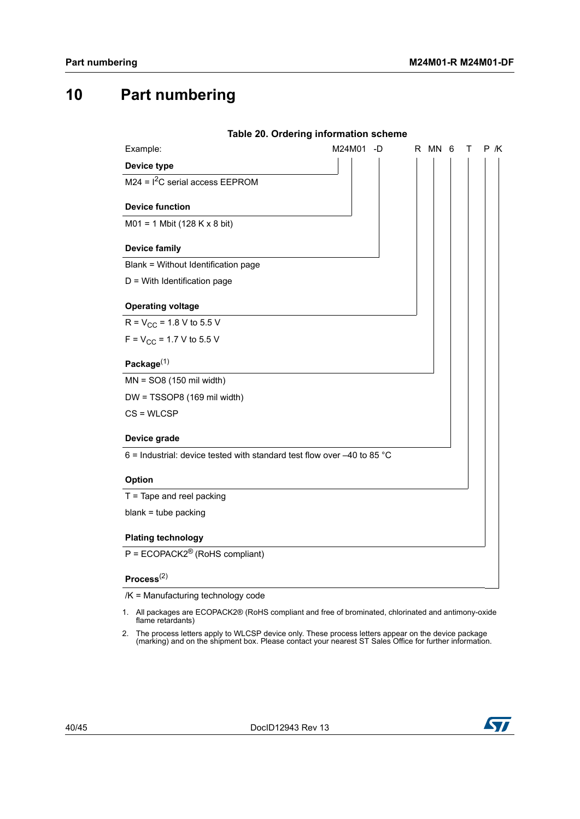# <span id="page-39-0"></span>**10 Part numbering**

<span id="page-39-1"></span>

|                                                                           | Table 20. Ordering information scheme |        |   |     |
|---------------------------------------------------------------------------|---------------------------------------|--------|---|-----|
| Example:                                                                  | M24M01 -D                             | R MN 6 | т | P K |
| Device type                                                               |                                       |        |   |     |
| $M24 = I2C$ serial access EEPROM                                          |                                       |        |   |     |
| <b>Device function</b>                                                    |                                       |        |   |     |
| $M01 = 1$ Mbit (128 K x 8 bit)                                            |                                       |        |   |     |
|                                                                           |                                       |        |   |     |
| <b>Device family</b>                                                      |                                       |        |   |     |
| Blank = Without Identification page                                       |                                       |        |   |     |
| $D =$ With Identification page                                            |                                       |        |   |     |
| <b>Operating voltage</b>                                                  |                                       |        |   |     |
| $R = V_{CC} = 1.8 V$ to 5.5 V                                             |                                       |        |   |     |
| $F = V_{CC} = 1.7 V$ to 5.5 V                                             |                                       |        |   |     |
|                                                                           |                                       |        |   |     |
| Package $(1)$                                                             |                                       |        |   |     |
| $MN = SO8(150 \text{ mil width})$                                         |                                       |        |   |     |
| DW = TSSOP8 (169 mil width)                                               |                                       |        |   |     |
| $CS = WLCSP$                                                              |                                       |        |   |     |
| Device grade                                                              |                                       |        |   |     |
| 6 = Industrial: device tested with standard test flow over $-40$ to 85 °C |                                       |        |   |     |
|                                                                           |                                       |        |   |     |
| Option                                                                    |                                       |        |   |     |
| $T =$ Tape and reel packing                                               |                                       |        |   |     |
| $blank = tube$ packing                                                    |                                       |        |   |     |
| <b>Plating technology</b>                                                 |                                       |        |   |     |
| $P = ECOPACK2^{\circledR}$ (RoHS compliant)                               |                                       |        |   |     |
| Process <sup>(2)</sup>                                                    |                                       |        |   |     |

/K = Manufacturing technology code

- 1. All packages are ECOPACK2® (RoHS compliant and free of brominated, chlorinated and antimony-oxide flame retardants)
- 2. The process letters apply to WLCSP device only. These process letters appear on the device package (marking) and on the shipment box. Please contact your nearest ST Sales Office for further information.

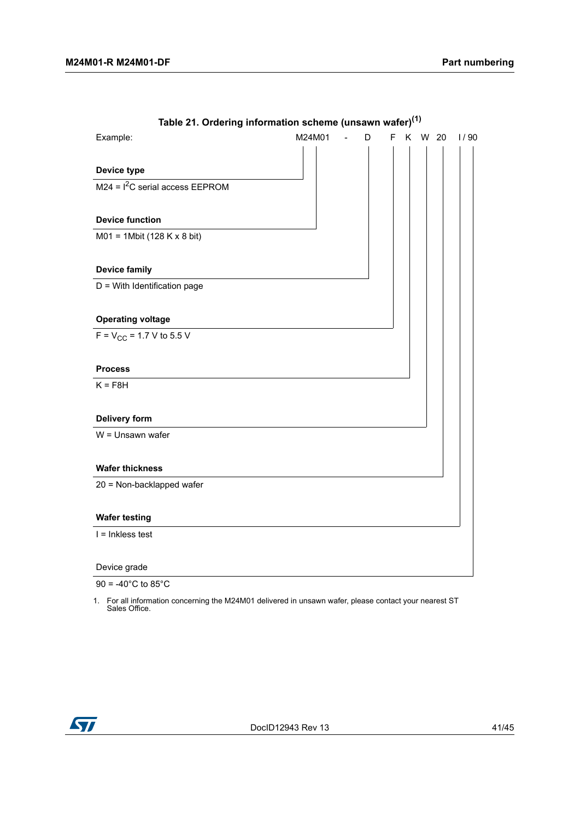<span id="page-40-0"></span>

| rable 2). Ordering implifiation scribing (unsawn water) $\gamma$ |                                                   |                |   |   |        |      |
|------------------------------------------------------------------|---------------------------------------------------|----------------|---|---|--------|------|
| Example:                                                         | M24M01                                            | $\overline{a}$ | D | F | K W 20 | 1/90 |
|                                                                  |                                                   |                |   |   |        |      |
| Device type                                                      |                                                   |                |   |   |        |      |
| $M24 = I2C$ serial access EEPROM                                 |                                                   |                |   |   |        |      |
|                                                                  |                                                   |                |   |   |        |      |
| <b>Device function</b>                                           |                                                   |                |   |   |        |      |
| $MO1 = 1Mbit (128 K x 8 bit)$                                    |                                                   |                |   |   |        |      |
|                                                                  |                                                   |                |   |   |        |      |
| <b>Device family</b>                                             |                                                   |                |   |   |        |      |
| D = With Identification page                                     |                                                   |                |   |   |        |      |
|                                                                  |                                                   |                |   |   |        |      |
| <b>Operating voltage</b>                                         |                                                   |                |   |   |        |      |
| $F = V_{CC} = 1.7 V$ to 5.5 V                                    |                                                   |                |   |   |        |      |
|                                                                  |                                                   |                |   |   |        |      |
| <b>Process</b>                                                   |                                                   |                |   |   |        |      |
| $K = F8H$                                                        |                                                   |                |   |   |        |      |
|                                                                  |                                                   |                |   |   |        |      |
| <b>Delivery form</b>                                             |                                                   |                |   |   |        |      |
| W = Unsawn wafer                                                 |                                                   |                |   |   |        |      |
|                                                                  |                                                   |                |   |   |        |      |
| <b>Wafer thickness</b>                                           |                                                   |                |   |   |        |      |
| 20 = Non-backlapped wafer                                        |                                                   |                |   |   |        |      |
|                                                                  |                                                   |                |   |   |        |      |
| <b>Wafer testing</b>                                             |                                                   |                |   |   |        |      |
| $I = Inkless test$                                               |                                                   |                |   |   |        |      |
|                                                                  |                                                   |                |   |   |        |      |
| Device grade                                                     | <u> 1989 - Johann Barbara, martxa alemaniar a</u> |                |   |   |        |      |
| $00 - 400C$ is $000C$                                            |                                                   |                |   |   |        |      |

**Table 21. Ordering information scheme (unsawn wafer)(1)**

90 = -40 $^{\circ}$ C to 85 $^{\circ}$ C

1. For all information concerning the M24M01 delivered in unsawn wafer, please contact your nearest ST Sales Office.

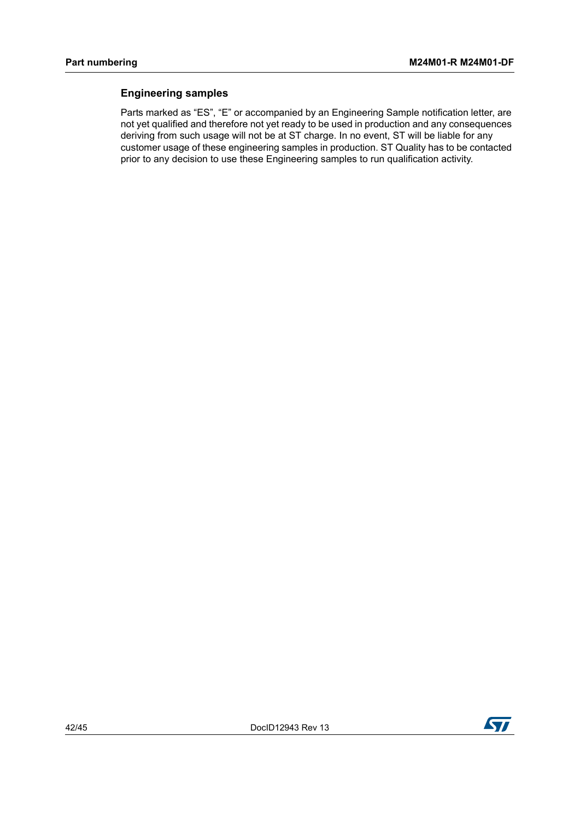#### <span id="page-41-0"></span>**Engineering samples**

Parts marked as "ES", "E" or accompanied by an Engineering Sample notification letter, are not yet qualified and therefore not yet ready to be used in production and any consequences deriving from such usage will not be at ST charge. In no event, ST will be liable for any customer usage of these engineering samples in production. ST Quality has to be contacted prior to any decision to use these Engineering samples to run qualification activity.

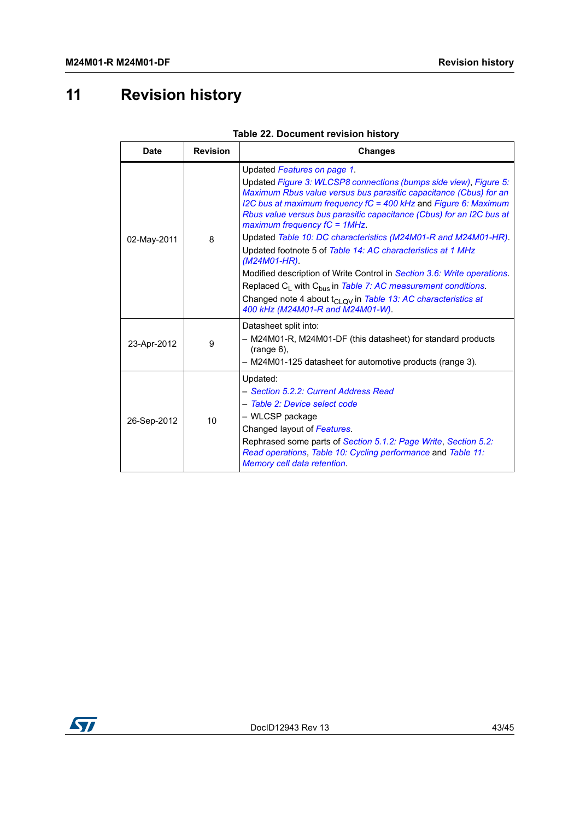# <span id="page-42-0"></span>**11 Revision history**

<span id="page-42-1"></span>

| <b>Date</b> | <b>Revision</b> | <b>Changes</b>                                                                                                                                                                                                                                                                                                                                        |
|-------------|-----------------|-------------------------------------------------------------------------------------------------------------------------------------------------------------------------------------------------------------------------------------------------------------------------------------------------------------------------------------------------------|
|             |                 | Updated Features on page 1.<br>Updated Figure 3: WLCSP8 connections (bumps side view), Figure 5:<br>Maximum Rbus value versus bus parasitic capacitance (Cbus) for an<br>I2C bus at maximum frequency $fC = 400$ kHz and Figure 6: Maximum<br>Rbus value versus bus parasitic capacitance (Cbus) for an I2C bus at<br>maximum frequency $fC = 1MHz$ . |
| 02-May-2011 | 8               | Updated Table 10: DC characteristics (M24M01-R and M24M01-HR).<br>Updated footnote 5 of Table 14: AC characteristics at 1 MHz<br>$(M24M01-HR)$ .                                                                                                                                                                                                      |
|             |                 | Modified description of Write Control in Section 3.6: Write operations.<br>Replaced $C_1$ with $C_{bus}$ in Table 7: AC measurement conditions.<br>Changed note 4 about t <sub>CLOV</sub> in Table 13: AC characteristics at<br>400 kHz (M24M01-R and M24M01-W).                                                                                      |
| 23-Apr-2012 | 9               | Datasheet split into:<br>- M24M01-R, M24M01-DF (this datasheet) for standard products<br>$(range 6)$ ,<br>- M24M01-125 datasheet for automotive products (range 3).                                                                                                                                                                                   |
| 26-Sep-2012 | 10              | Updated:<br>- Section 5.2.2: Current Address Read<br>- Table 2: Device select code<br>- WLCSP package<br>Changed layout of Features.<br>Rephrased some parts of Section 5.1.2: Page Write, Section 5.2:<br>Read operations, Table 10: Cycling performance and Table 11:<br>Memory cell data retention.                                                |

| Table 22. Document revision history |
|-------------------------------------|
|-------------------------------------|

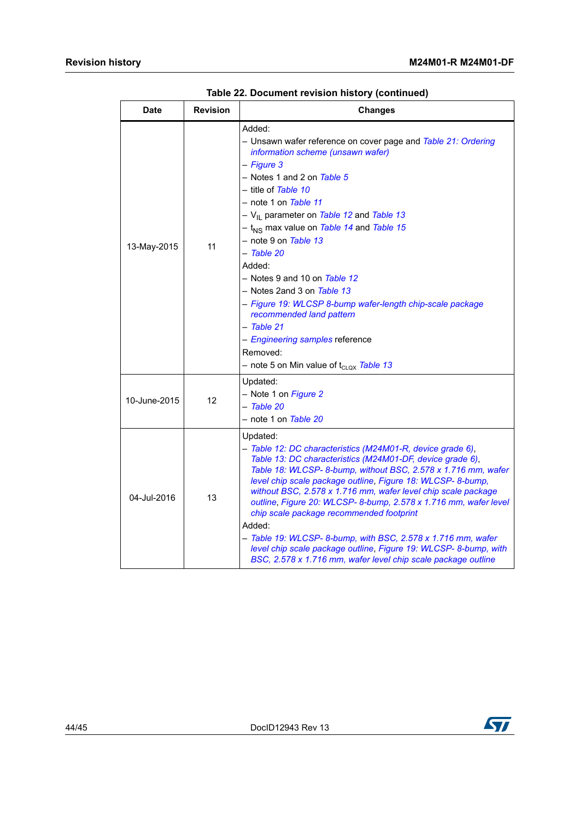| Date         | <b>Revision</b> | <b>Changes</b>                                                                                                                                                                                                                                                                                                                                                                                                                                                                                                                                                                                                                                                                 |
|--------------|-----------------|--------------------------------------------------------------------------------------------------------------------------------------------------------------------------------------------------------------------------------------------------------------------------------------------------------------------------------------------------------------------------------------------------------------------------------------------------------------------------------------------------------------------------------------------------------------------------------------------------------------------------------------------------------------------------------|
| 13-May-2015  | 11              | Added:<br>- Unsawn wafer reference on cover page and Table 21: Ordering<br>information scheme (unsawn wafer)<br>- Figure 3<br>- Notes 1 and 2 on Table 5<br>– title of <i>Table 10</i><br>– note 1 on <i>Table 11</i><br>- V <sub>II</sub> parameter on Table 12 and Table 13<br>- t <sub>NS</sub> max value on Table 14 and Table 15<br>– note 9 on <i>Table 13</i><br>- Table 20<br>Added:<br>– Notes 9 and 10 on <i>Table 12</i><br>- Notes 2and 3 on Table 13<br>- Figure 19: WLCSP 8-bump wafer-length chip-scale package<br>recommended land pattern<br>- Table 21<br>- Engineering samples reference<br>Removed:<br>- note 5 on Min value of t <sub>CLQX</sub> Table 13 |
| 10-June-2015 | 12              | Updated:<br>- Note 1 on Figure 2<br>– Table 20<br>- note 1 on Table 20                                                                                                                                                                                                                                                                                                                                                                                                                                                                                                                                                                                                         |
| 04-Jul-2016  | 13              | Updated:<br>- Table 12: DC characteristics (M24M01-R, device grade 6),<br>Table 13: DC characteristics (M24M01-DF, device grade 6),<br>Table 18: WLCSP-8-bump, without BSC, 2.578 x 1.716 mm, wafer<br>level chip scale package outline, Figure 18: WLCSP- 8-bump,<br>without BSC, 2.578 x 1.716 mm, wafer level chip scale package<br>outline, Figure 20: WLCSP-8-bump, 2.578 x 1.716 mm, wafer level<br>chip scale package recommended footprint<br>Added:<br>- Table 19: WLCSP-8-bump, with BSC, 2.578 x 1.716 mm, wafer<br>level chip scale package outline, Figure 19: WLCSP- 8-bump, with<br>BSC, 2.578 x 1.716 mm, wafer level chip scale package outline               |